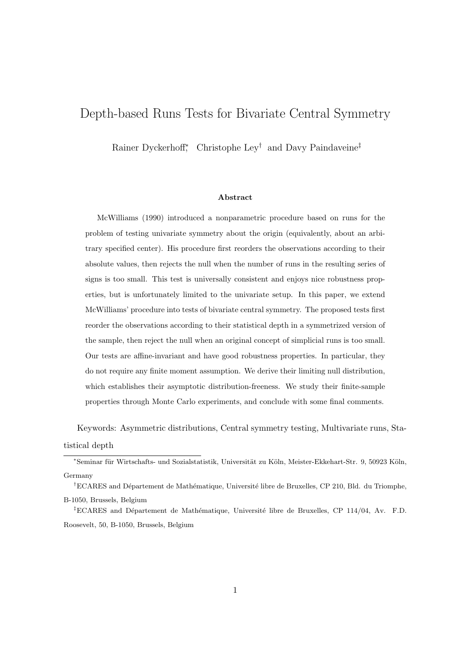# Depth-based Runs Tests for Bivariate Central Symmetry

Rainer Dyckerhoff<sup>∗</sup> , Christophe Ley† and Davy Paindaveine‡

#### Abstract

McWilliams (1990) introduced a nonparametric procedure based on runs for the problem of testing univariate symmetry about the origin (equivalently, about an arbitrary specified center). His procedure first reorders the observations according to their absolute values, then rejects the null when the number of runs in the resulting series of signs is too small. This test is universally consistent and enjoys nice robustness properties, but is unfortunately limited to the univariate setup. In this paper, we extend McWilliams' procedure into tests of bivariate central symmetry. The proposed tests first reorder the observations according to their statistical depth in a symmetrized version of the sample, then reject the null when an original concept of simplicial runs is too small. Our tests are affine-invariant and have good robustness properties. In particular, they do not require any finite moment assumption. We derive their limiting null distribution, which establishes their asymptotic distribution-freeness. We study their finite-sample properties through Monte Carlo experiments, and conclude with some final comments.

Keywords: Asymmetric distributions, Central symmetry testing, Multivariate runs, Statistical depth

 $E$ CARES and Département de Mathématique, Université libre de Bruxelles, CP 114/04, Av. F.D. Roosevelt, 50, B-1050, Brussels, Belgium

<sup>∗</sup>Seminar f¨ur Wirtschafts- und Sozialstatistik, Universit¨at zu K¨oln, Meister-Ekkehart-Str. 9, 50923 K¨oln, Germany

<sup>&</sup>lt;sup>†</sup>ECARES and Département de Mathématique, Université libre de Bruxelles, CP 210, Bld. du Triomphe, B-1050, Brussels, Belgium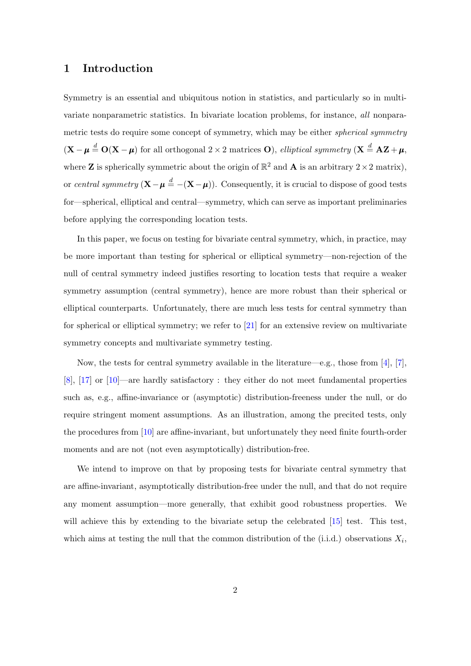### <span id="page-1-0"></span>1 Introduction

Symmetry is an essential and ubiquitous notion in statistics, and particularly so in multivariate nonparametric statistics. In bivariate location problems, for instance, all nonparametric tests do require some concept of symmetry, which may be either *spherical symmetry*  $(X - \mu \stackrel{d}{=} O(X - \mu)$  for all orthogonal 2 × 2 matrices O), elliptical symmetry  $(X = AZ + \mu,$ where **Z** is spherically symmetric about the origin of  $\mathbb{R}^2$  and **A** is an arbitrary  $2 \times 2$  matrix), or central symmetry  $(X - \mu \stackrel{d}{=} -(X - \mu))$ . Consequently, it is crucial to dispose of good tests for—spherical, elliptical and central—symmetry, which can serve as important preliminaries before applying the corresponding location tests.

In this paper, we focus on testing for bivariate central symmetry, which, in practice, may be more important than testing for spherical or elliptical symmetry—non-rejection of the null of central symmetry indeed justifies resorting to location tests that require a weaker symmetry assumption (central symmetry), hence are more robust than their spherical or elliptical counterparts. Unfortunately, there are much less tests for central symmetry than for spherical or elliptical symmetry; we refer to [\[21\]](#page-26-0) for an extensive review on multivariate symmetry concepts and multivariate symmetry testing.

Now, the tests for central symmetry available in the literature—e.g., those from [\[4\]](#page-25-0), [\[7\]](#page-25-1), [\[8\]](#page-25-2), [\[17\]](#page-26-1) or [\[10\]](#page-25-3)—are hardly satisfactory : they either do not meet fundamental properties such as, e.g., affine-invariance or (asymptotic) distribution-freeness under the null, or do require stringent moment assumptions. As an illustration, among the precited tests, only the procedures from [\[10\]](#page-25-3) are affine-invariant, but unfortunately they need finite fourth-order moments and are not (not even asymptotically) distribution-free.

We intend to improve on that by proposing tests for bivariate central symmetry that are affine-invariant, asymptotically distribution-free under the null, and that do not require any moment assumption—more generally, that exhibit good robustness properties. We will achieve this by extending to the bivariate setup the celebrated [\[15\]](#page-26-2) test. This test, which aims at testing the null that the common distribution of the  $(i.i.d.)$  observations  $X_i$ ,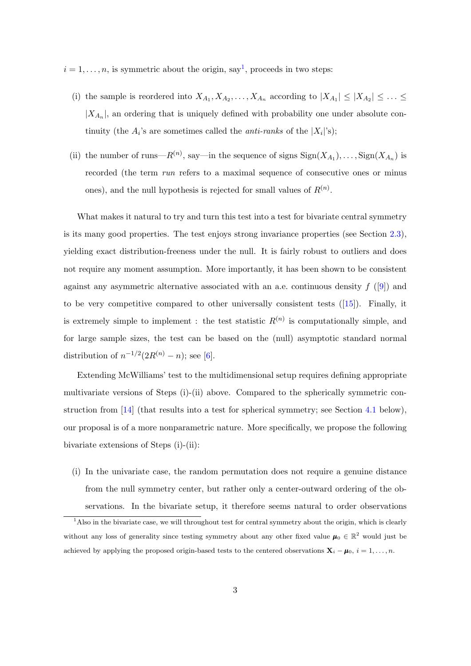- $i = 1, \ldots, n$  $i = 1, \ldots, n$  $i = 1, \ldots, n$ , is symmetric about the origin, say<sup>1</sup>, proceeds in two steps:
	- (i) the sample is reordered into  $X_{A_1}, X_{A_2}, \ldots, X_{A_n}$  according to  $|X_{A_1}| \leq |X_{A_2}| \leq \ldots \leq$  $|X_{A_n}|$ , an ordering that is uniquely defined with probability one under absolute continuity (the  $A_i$ 's are sometimes called the *anti-ranks* of the  $|X_i|$ 's);
	- (ii) the number of runs— $R^{(n)}$ , say—in the sequence of signs  $\text{Sign}(X_{A_1}), \ldots, \text{Sign}(X_{A_n})$  is recorded (the term run refers to a maximal sequence of consecutive ones or minus ones), and the null hypothesis is rejected for small values of  $R^{(n)}$ .

What makes it natural to try and turn this test into a test for bivariate central symmetry is its many good properties. The test enjoys strong invariance properties (see Section [2.3\)](#page-6-0), yielding exact distribution-freeness under the null. It is fairly robust to outliers and does not require any moment assumption. More importantly, it has been shown to be consistent against any asymmetric alternative associated with an a.e. continuous density  $f$  ([\[9\]](#page-25-4)) and to be very competitive compared to other universally consistent tests  $([15])$  $([15])$  $([15])$ . Finally, it is extremely simple to implement : the test statistic  $R^{(n)}$  is computationally simple, and for large sample sizes, the test can be based on the (null) asymptotic standard normal distribution of  $n^{-1/2}(2R^{(n)}-n)$ ; see [\[6\]](#page-25-5).

Extending McWilliams' test to the multidimensional setup requires defining appropriate multivariate versions of Steps (i)-(ii) above. Compared to the spherically symmetric construction from [\[14\]](#page-26-3) (that results into a test for spherical symmetry; see Section [4.1](#page-11-0) below), our proposal is of a more nonparametric nature. More specifically, we propose the following bivariate extensions of Steps (i)-(ii):

(i) In the univariate case, the random permutation does not require a genuine distance from the null symmetry center, but rather only a center-outward ordering of the observations. In the bivariate setup, it therefore seems natural to order observations

<span id="page-2-0"></span><sup>&</sup>lt;sup>1</sup>Also in the bivariate case, we will throughout test for central symmetry about the origin, which is clearly without any loss of generality since testing symmetry about any other fixed value  $\mu_0 \in \mathbb{R}^2$  would just be achieved by applying the proposed origin-based tests to the centered observations  $\mathbf{X}_i - \boldsymbol{\mu}_0$ ,  $i = 1, \ldots, n$ .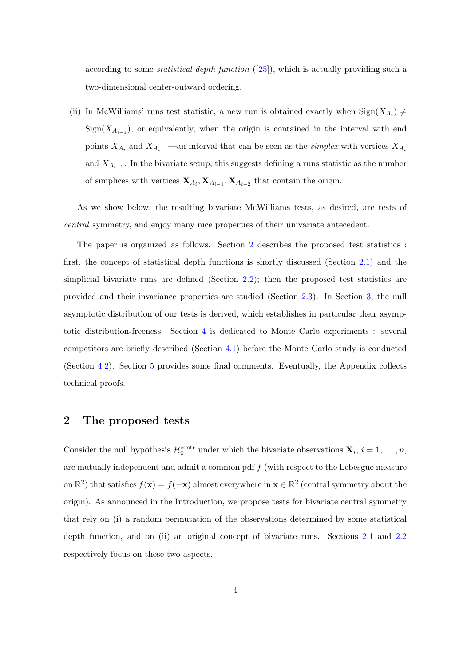according to some *statistical depth function*  $([25])$  $([25])$  $([25])$ , which is actually providing such a two-dimensional center-outward ordering.

(ii) In McWilliams' runs test statistic, a new run is obtained exactly when  $\text{Sign}(X_{A_i}) \neq$  $Sign(X_{A_{i-1}})$ , or equivalently, when the origin is contained in the interval with end points  $X_{A_i}$  and  $X_{A_{i-1}}$ —an interval that can be seen as the *simplex* with vertices  $X_{A_i}$ and  $X_{A_{i-1}}$ . In the bivariate setup, this suggests defining a runs statistic as the number of simplices with vertices  $X_{A_i}$ ,  $X_{A_{i-1}}$ ,  $X_{A_{i-2}}$  that contain the origin.

As we show below, the resulting bivariate McWilliams tests, as desired, are tests of central symmetry, and enjoy many nice properties of their univariate antecedent.

The paper is organized as follows. Section [2](#page-3-0) describes the proposed test statistics : first, the concept of statistical depth functions is shortly discussed (Section [2.1\)](#page-4-0) and the simplicial bivariate runs are defined (Section [2.2\)](#page-6-1); then the proposed test statistics are provided and their invariance properties are studied (Section [2.3\)](#page-6-0). In Section [3,](#page-8-0) the null asymptotic distribution of our tests is derived, which establishes in particular their asymptotic distribution-freeness. Section [4](#page-11-1) is dedicated to Monte Carlo experiments : several competitors are briefly described (Section [4.1\)](#page-11-0) before the Monte Carlo study is conducted (Section [4.2\)](#page-13-0). Section [5](#page-16-0) provides some final comments. Eventually, the Appendix collects technical proofs.

## <span id="page-3-0"></span>2 The proposed tests

Consider the null hypothesis  $\mathcal{H}_0^{\text{centr}}$  under which the bivariate observations  $\mathbf{X}_i$ ,  $i = 1, \ldots, n$ , are mutually independent and admit a common pdf  $f$  (with respect to the Lebesgue measure on  $\mathbb{R}^2$ ) that satisfies  $f(\mathbf{x}) = f(-\mathbf{x})$  almost everywhere in  $\mathbf{x} \in \mathbb{R}^2$  (central symmetry about the origin). As announced in the Introduction, we propose tests for bivariate central symmetry that rely on (i) a random permutation of the observations determined by some statistical depth function, and on (ii) an original concept of bivariate runs. Sections [2.1](#page-4-0) and [2.2](#page-6-1) respectively focus on these two aspects.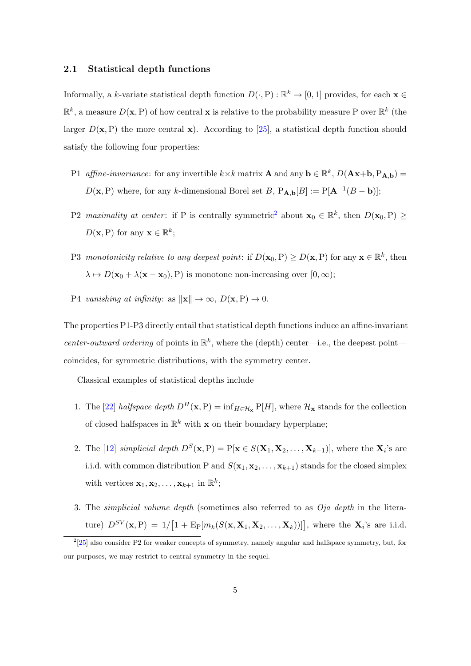#### <span id="page-4-0"></span>2.1 Statistical depth functions

Informally, a k-variate statistical depth function  $D(\cdot, P) : \mathbb{R}^k \to [0, 1]$  provides, for each  $\mathbf{x} \in \mathbb{R}^k$  $\mathbb{R}^k$ , a measure  $D(\mathbf{x}, P)$  of how central **x** is relative to the probability measure P over  $\mathbb{R}^k$  (the larger  $D(\mathbf{x},P)$  the more central  $\mathbf{x}$ ). According to [\[25\]](#page-27-0), a statistical depth function should satisfy the following four properties:

- P1 affine-invariance: for any invertible  $k \times k$  matrix **A** and any  $\mathbf{b} \in \mathbb{R}^k$ ,  $D(\mathbf{Ax}+\mathbf{b}, P_{\mathbf{A},\mathbf{b}})$  =  $D(\mathbf{x}, P)$  where, for any k-dimensional Borel set B,  $P_{\mathbf{A},\mathbf{b}}[B] := P[\mathbf{A}^{-1}(B - \mathbf{b})];$
- P[2](#page-4-1) maximality at center: if P is centrally symmetric<sup>2</sup> about  $x_0 \in \mathbb{R}^k$ , then  $D(x_0, P) \ge$  $D(\mathbf{x}, P)$  for any  $\mathbf{x} \in \mathbb{R}^k$ ;
- P3 monotonicity relative to any deepest point: if  $D(\mathbf{x}_0, P) \ge D(\mathbf{x}, P)$  for any  $\mathbf{x} \in \mathbb{R}^k$ , then  $\lambda \mapsto D(\mathbf{x}_0 + \lambda(\mathbf{x} - \mathbf{x}_0), P)$  is monotone non-increasing over  $[0, \infty);$
- P4 vanishing at infinity: as  $\|\mathbf{x}\| \to \infty$ ,  $D(\mathbf{x}, P) \to 0$ .

The properties P1-P3 directly entail that statistical depth functions induce an affine-invariant center-outward ordering of points in  $\mathbb{R}^k$ , where the (depth) center—i.e., the deepest point coincides, for symmetric distributions, with the symmetry center.

Classical examples of statistical depths include

- 1. The [\[22\]](#page-26-4) halfspace depth  $D^H(\mathbf{x},P) = \inf_{H \in \mathcal{H}_\mathbf{x}} P[H]$ , where  $\mathcal{H}_\mathbf{x}$  stands for the collection of closed halfspaces in  $\mathbb{R}^k$  with **x** on their boundary hyperplane;
- 2. The [\[12\]](#page-26-5) simplicial depth  $D^{S}(\mathbf{x}, P) = P[\mathbf{x} \in S(\mathbf{X}_1, \mathbf{X}_2, \dots, \mathbf{X}_{k+1})],$  where the  $\mathbf{X}_i$ 's are i.i.d. with common distribution P and  $S(\mathbf{x}_1, \mathbf{x}_2, \dots, \mathbf{x}_{k+1})$  stands for the closed simplex with vertices  $\mathbf{x}_1, \mathbf{x}_2, \ldots, \mathbf{x}_{k+1}$  in  $\mathbb{R}^k$ ;
- 3. The simplicial volume depth (sometimes also referred to as Oja depth in the literature)  $D^{SV}(\mathbf{x},P) = 1/[1 + \mathrm{E}_{P}[m_k(S(\mathbf{x}, \mathbf{X}_1, \mathbf{X}_2, \dots, \mathbf{X}_k))]]$ , where the  $\mathbf{X}_i$ 's are i.i.d.

<span id="page-4-1"></span> $^{2}[25]$  $^{2}[25]$  also consider P2 for weaker concepts of symmetry, namely angular and halfspace symmetry, but, for our purposes, we may restrict to central symmetry in the sequel.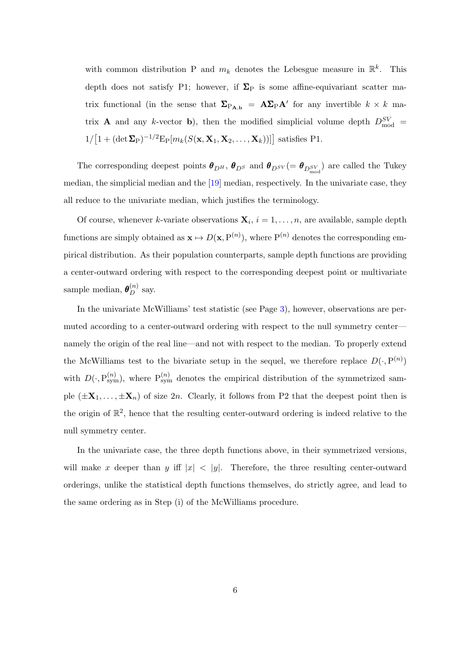with common distribution P and  $m_k$  denotes the Lebesgue measure in  $\mathbb{R}^k$ . This depth does not satisfy P1; however, if  $\Sigma_P$  is some affine-equivariant scatter matrix functional (in the sense that  $\Sigma_{P_{A,b}} = A\Sigma_{P}A'$  for any invertible  $k \times k$  matrix **A** and any k-vector **b**), then the modified simplicial volume depth  $D_{\text{mod}}^{SV}$  $1/[1+(\det \mathbf{\Sigma}_{\mathrm{P}})^{-1/2}\mathrm{E}_{\mathrm{P}}[m_k(S(\mathbf{x}, \mathbf{X}_1, \mathbf{X}_2, \dots, \mathbf{X}_k))]]$  satisfies P1.

The corresponding deepest points  $\theta_{D^H}$ ,  $\theta_{D^S}$  and  $\theta_{D^{SV}}(=\theta_{D_{mod}^{SV}})$  are called the Tukey median, the simplicial median and the [\[19\]](#page-26-6) median, respectively. In the univariate case, they all reduce to the univariate median, which justifies the terminology.

Of course, whenever k-variate observations  $X_i$ ,  $i = 1, \ldots, n$ , are available, sample depth functions are simply obtained as  $\mathbf{x} \mapsto D(\mathbf{x}, P^{(n)})$ , where  $P^{(n)}$  denotes the corresponding empirical distribution. As their population counterparts, sample depth functions are providing a center-outward ordering with respect to the corresponding deepest point or multivariate sample median,  $\boldsymbol{\theta}_D^{(n)}$  say.

In the univariate McWilliams' test statistic (see Page [3\)](#page-1-0), however, observations are permuted according to a center-outward ordering with respect to the null symmetry center namely the origin of the real line—and not with respect to the median. To properly extend the McWilliams test to the bivariate setup in the sequel, we therefore replace  $D(\cdot, P^{(n)})$ with  $D(\cdot, P_{sym}^{(n)})$ , where  $P_{sym}^{(n)}$  denotes the empirical distribution of the symmetrized sample  $(\pm X_1, \ldots, \pm X_n)$  of size  $2n$ . Clearly, it follows from P2 that the deepest point then is the origin of  $\mathbb{R}^2$ , hence that the resulting center-outward ordering is indeed relative to the null symmetry center.

In the univariate case, the three depth functions above, in their symmetrized versions, will make x deeper than y iff  $|x| < |y|$ . Therefore, the three resulting center-outward orderings, unlike the statistical depth functions themselves, do strictly agree, and lead to the same ordering as in Step (i) of the McWilliams procedure.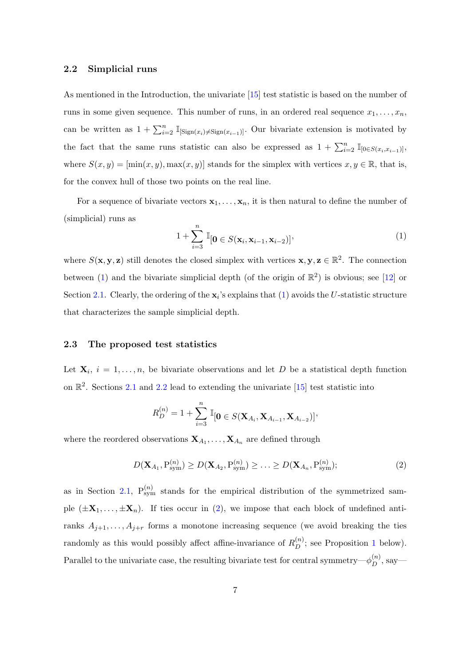#### <span id="page-6-1"></span>2.2 Simplicial runs

As mentioned in the Introduction, the univariate [\[15\]](#page-26-2) test statistic is based on the number of runs in some given sequence. This number of runs, in an ordered real sequence  $x_1, \ldots, x_n$ , can be written as  $1 + \sum_{i=2}^{n} \mathbb{I}_{[\text{Sign}(x_i) \neq \text{Sign}(x_{i-1})]}$ . Our bivariate extension is motivated by the fact that the same runs statistic can also be expressed as  $1 + \sum_{i=2}^{n} \mathbb{I}_{[0 \in S(x_i, x_{i-1})]},$ where  $S(x, y) = [\min(x, y), \max(x, y)]$  stands for the simplex with vertices  $x, y \in \mathbb{R}$ , that is, for the convex hull of those two points on the real line.

For a sequence of bivariate vectors  $x_1, \ldots, x_n$ , it is then natural to define the number of (simplicial) runs as

<span id="page-6-2"></span>
$$
1 + \sum_{i=3}^{n} \mathbb{I}_{\left[0 \in S(\mathbf{x}_i, \mathbf{x}_{i-1}, \mathbf{x}_{i-2})\right]},
$$
\n<sup>(1)</sup>

where  $S(\mathbf{x}, \mathbf{y}, \mathbf{z})$  still denotes the closed simplex with vertices  $\mathbf{x}, \mathbf{y}, \mathbf{z} \in \mathbb{R}^2$ . The connection between [\(1\)](#page-6-2) and the bivariate simplicial depth (of the origin of  $\mathbb{R}^2$ ) is obvious; see [\[12\]](#page-26-5) or Section [2.1.](#page-4-0) Clearly, the ordering of the  $x_i$ 's explains that [\(1\)](#page-6-2) avoids the U-statistic structure that characterizes the sample simplicial depth.

### <span id="page-6-0"></span>2.3 The proposed test statistics

Let  $X_i$ ,  $i = 1, \ldots, n$ , be bivariate observations and let D be a statistical depth function on  $\mathbb{R}^2$ . Sections [2.1](#page-4-0) and [2.2](#page-6-1) lead to extending the univariate [\[15\]](#page-26-2) test statistic into

$$
R_D^{(n)} = 1 + \sum_{i=3}^n \mathbb{I}_{\left[0 \in S(\mathbf{X}_{A_i}, \mathbf{X}_{A_{i-1}}, \mathbf{X}_{A_{i-2}})\right]},
$$

where the reordered observations  $X_{A_1}, \ldots, X_{A_n}$  are defined through

<span id="page-6-3"></span>
$$
D(\mathbf{X}_{A_1}, P_{sym}^{(n)}) \ge D(\mathbf{X}_{A_2}, P_{sym}^{(n)}) \ge \ldots \ge D(\mathbf{X}_{A_n}, P_{sym}^{(n)}); \tag{2}
$$

as in Section [2.1,](#page-4-0)  $P_{sym}^{(n)}$  stands for the empirical distribution of the symmetrized sample  $(\pm X_1, \ldots, \pm X_n)$ . If ties occur in [\(2\)](#page-6-3), we impose that each block of undefined antiranks  $A_{j+1}, \ldots, A_{j+r}$  forms a monotone increasing sequence (we avoid breaking the ties randomly as this would possibly affect affine-invariance of  $R_D^{(n)}$ ; see Proposition [1](#page-7-0) below). Parallel to the univariate case, the resulting bivariate test for central symmetry— $\phi_D^{(n)}$ , say—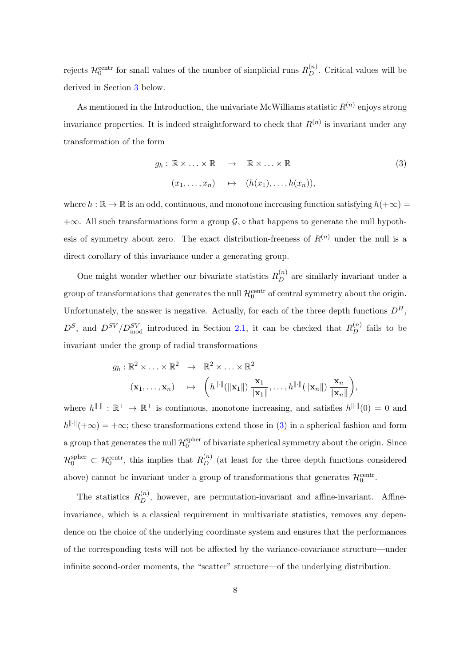rejects  $\mathcal{H}_0^{\text{centr}}$  for small values of the number of simplicial runs  $R_D^{(n)}$ . Critical values will be derived in Section [3](#page-8-0) below.

As mentioned in the Introduction, the univariate McWilliams statistic  $R^{(n)}$  enjoys strong invariance properties. It is indeed straightforward to check that  $R^{(n)}$  is invariant under any transformation of the form

<span id="page-7-1"></span>
$$
g_h: \mathbb{R} \times \ldots \times \mathbb{R} \longrightarrow \mathbb{R} \times \ldots \times \mathbb{R}
$$
  

$$
(x_1, \ldots, x_n) \mapsto (h(x_1), \ldots, h(x_n)),
$$
  
(3)

where  $h : \mathbb{R} \to \mathbb{R}$  is an odd, continuous, and monotone increasing function satisfying  $h(+\infty) =$  $+\infty$ . All such transformations form a group  $\mathcal{G}, \circ$  that happens to generate the null hypothesis of symmetry about zero. The exact distribution-freeness of  $R^{(n)}$  under the null is a direct corollary of this invariance under a generating group.

One might wonder whether our bivariate statistics  $R_D^{(n)}$  are similarly invariant under a group of transformations that generates the null  $\mathcal{H}_0^{\text{centr}}$  of central symmetry about the origin. Unfortunately, the answer is negative. Actually, for each of the three depth functions  $D^H$ ,  $D^S$ , and  $D^{SV}/D_{mod}^{SV}$  introduced in Section [2.1,](#page-4-0) it can be checked that  $R_D^{(n)}$  fails to be invariant under the group of radial transformations

$$
g_h: \mathbb{R}^2 \times \ldots \times \mathbb{R}^2 \rightarrow \mathbb{R}^2 \times \ldots \times \mathbb{R}^2
$$

$$
(\mathbf{x}_1, \ldots, \mathbf{x}_n) \rightarrow \left( h^{\|\cdot\|}(\|\mathbf{x}_1\|) \frac{\mathbf{x}_1}{\|\mathbf{x}_1\|}, \ldots, h^{\|\cdot\|}(\|\mathbf{x}_n\|) \frac{\mathbf{x}_n}{\|\mathbf{x}_n\|} \right),
$$

where  $h^{\|\cdot\|}: \mathbb{R}^+ \to \mathbb{R}^+$  is continuous, monotone increasing, and satisfies  $h^{\|\cdot\|}(0) = 0$  and  $h^{\|\cdot\|}(+\infty) = +\infty$ ; these transformations extend those in [\(3\)](#page-7-1) in a spherical fashion and form a group that generates the null  $\mathcal{H}^{\text{spher}}_0$  $_0^{\text{spner}}$  of bivariate spherical symmetry about the origin. Since  $\mathcal{H}_0^{\text{cpher}} \subset \mathcal{H}_0^{\text{centr}}$ , this implies that  $R_D^{(n)}$  (at least for the three depth functions considered above) cannot be invariant under a group of transformations that generates  $\mathcal{H}_0^{\text{centr}}$ .

<span id="page-7-0"></span>The statistics  $R_D^{(n)}$ , however, are permutation-invariant and affine-invariant. Affineinvariance, which is a classical requirement in multivariate statistics, removes any dependence on the choice of the underlying coordinate system and ensures that the performances of the corresponding tests will not be affected by the variance-covariance structure—under infinite second-order moments, the "scatter" structure—of the underlying distribution.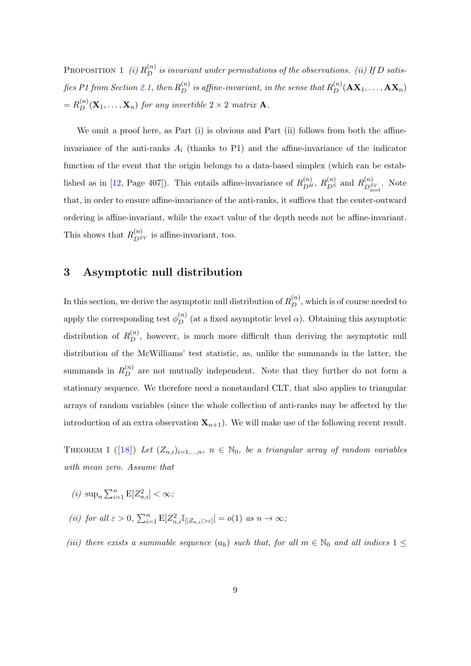PROPOSITION 1 (i)  $R_D^{(n)}$  is invariant under permutations of the observations. (ii) If D satis-fies P1 from Section [2.1,](#page-4-0) then  $R_D^{(n)}$  is affine-invariant, in the sense that  $R_D^{(n)}(\mathbf{AX}_1,\dots,\mathbf{AX}_n)$  $=R_D^{(n)}(\mathbf X_1,\ldots,\mathbf X_n)$  for any invertible  $2\times 2$  matrix **A**.

We omit a proof here, as Part (i) is obvious and Part (ii) follows from both the affineinvariance of the anti-ranks  $A_i$  (thanks to P1) and the affine-invariance of the indicator function of the event that the origin belongs to a data-based simplex (which can be estab-lished as in [\[12,](#page-26-5) Page 407]). This entails affine-invariance of  $R_{DH}^{(n)}$ ,  $R_{DS}^{(n)}$  and  $R_{DS}^{(n)}$  $\mathbb{Z}_{\text{mod}}^{(n)}$ . Note that, in order to ensure affine-invariance of the anti-ranks, it suffices that the center-outward ordering is affine-invariant, while the exact value of the depth needs not be affine-invariant. This shows that  $R_{D^{SV}}^{(n)}$  is affine-invariant, too.

### <span id="page-8-0"></span>3 Asymptotic null distribution

In this section, we derive the asymptotic null distribution of  $R_D^{(n)}$ , which is of course needed to apply the corresponding test  $\phi_D^{(n)}$  (at a fixed asymptotic level  $\alpha$ ). Obtaining this asymptotic distribution of  $R_D^{(n)}$ , however, is much more difficult than deriving the asymptotic null distribution of the McWilliams' test statistic, as, unlike the summands in the latter, the summands in  $R_D^{(n)}$  are not mutually independent. Note that they further do not form a stationary sequence. We therefore need a nonstandard CLT, that also applies to triangular arrays of random variables (since the whole collection of anti-ranks may be affected by the introduction of an extra observation  $\mathbf{X}_{n+1}$ ). We will make use of the following recent result.

<span id="page-8-1"></span>THEOREM 1 ([\[18\]](#page-26-7)) Let  $(Z_{n,i})_{i=1,\ldots,n}$ ,  $n \in \mathbb{N}_0$ , be a triangular array of random variables with mean zero. Assume that

- (*i*)  $\sup_n \sum_{i=1}^n E[Z_{n,i}^2] < \infty$ ;
- (ii) for all  $\varepsilon > 0$ ,  $\sum_{i=1}^{n} \mathbb{E}[Z_{n,i}^2 \mathbb{I}_{[|Z_{n,i}| > \varepsilon]}] = o(1)$  as  $n \to \infty$ ;
- (iii) there exists a summable sequence  $(a_h)$  such that, for all  $m \in \mathbb{N}_0$  and all indices  $1 \leq$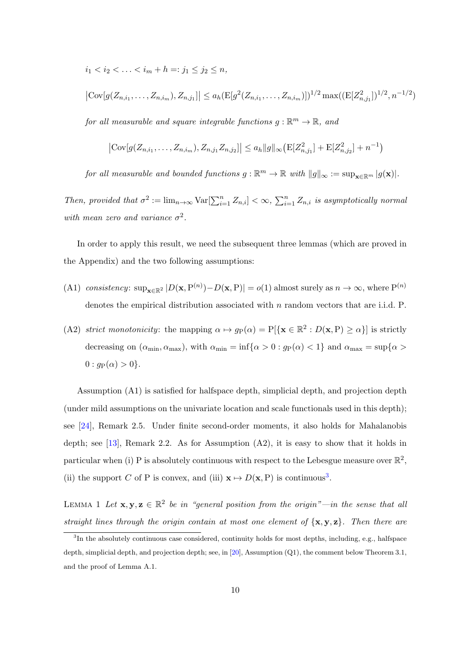$i_1 < i_2 < \ldots < i_m + h =: j_1 \leq j_2 \leq n$ ,

$$
|\text{Cov}[g(Z_{n,i_1},\ldots,Z_{n,i_m}),Z_{n,j_1}]| \le a_h(\text{E}[g^2(Z_{n,i_1},\ldots,Z_{n,i_m})])^{1/2}\max((\text{E}[Z_{n,j_1}^2])^{1/2},n^{-1/2})
$$

for all measurable and square integrable functions  $g : \mathbb{R}^m \to \mathbb{R}$ , and

$$
\left|\text{Cov}[g(Z_{n,i_1},\ldots,Z_{n,i_m}),Z_{n,j_1}Z_{n,j_2}]\right|\leq a_h\|g\|_{\infty}\left(\text{E}[Z_{n,j_1}^2]+\text{E}[Z_{n,j_2}^2]+n^{-1}\right)
$$

for all measurable and bounded functions  $g : \mathbb{R}^m \to \mathbb{R}$  with  $||g||_{\infty} := \sup_{\mathbf{x} \in \mathbb{R}^m} |g(\mathbf{x})|$ .

Then, provided that  $\sigma^2 := \lim_{n \to \infty} \text{Var}[\sum_{i=1}^n Z_{n,i}] < \infty$ ,  $\sum_{i=1}^n Z_{n,i}$  is asymptotically normal with mean zero and variance  $\sigma^2$ .

In order to apply this result, we need the subsequent three lemmas (which are proved in the Appendix) and the two following assumptions:

- (A1) consistency:  $\sup_{\mathbf{x} \in \mathbb{R}^2} |D(\mathbf{x}, P^{(n)}) D(\mathbf{x}, P)| = o(1)$  almost surely as  $n \to \infty$ , where  $P^{(n)}$ denotes the empirical distribution associated with  $n$  random vectors that are i.i.d.  $P$ .
- (A2) strict monotonicity: the mapping  $\alpha \mapsto g_P(\alpha) = P[\{\mathbf{x} \in \mathbb{R}^2 : D(\mathbf{x}, P) \ge \alpha\}]$  is strictly decreasing on  $(\alpha_{\min}, \alpha_{\max})$ , with  $\alpha_{\min} = \inf{\alpha > 0 : g_P(\alpha) < 1}$  and  $\alpha_{\max} = \sup{\alpha > 0}$  $0 : g_{P}(\alpha) > 0$ .

Assumption (A1) is satisfied for halfspace depth, simplicial depth, and projection depth (under mild assumptions on the univariate location and scale functionals used in this depth); see [\[24\]](#page-27-1), Remark 2.5. Under finite second-order moments, it also holds for Mahalanobis depth; see [\[13\]](#page-26-8), Remark 2.2. As for Assumption  $(A2)$ , it is easy to show that it holds in particular when (i) P is absolutely continuous with respect to the Lebesgue measure over  $\mathbb{R}^2$ , (ii) the support C of P is convex, and (iii)  $\mathbf{x} \mapsto D(\mathbf{x},P)$  is continuous<sup>[3](#page-9-0)</sup>.

<span id="page-9-1"></span>LEMMA 1 Let  $\mathbf{x}, \mathbf{y}, \mathbf{z} \in \mathbb{R}^2$  be in "general position from the origin"—in the sense that all straight lines through the origin contain at most one element of  $\{x, y, z\}$ . Then there are

<span id="page-9-0"></span><sup>&</sup>lt;sup>3</sup>In the absolutely continuous case considered, continuity holds for most depths, including, e.g., halfspace depth, simplicial depth, and projection depth; see, in [\[20\]](#page-26-9), Assumption (Q1), the comment below Theorem 3.1, and the proof of Lemma A.1.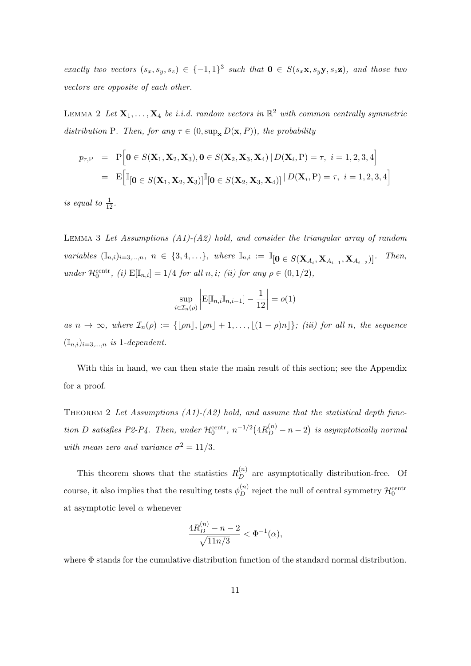exactly two vectors  $(s_x, s_y, s_z) \in \{-1, 1\}^3$  such that  $\mathbf{0} \in S(s_x \mathbf{x}, s_y \mathbf{y}, s_z \mathbf{z})$ , and those two vectors are opposite of each other.

<span id="page-10-1"></span>LEMMA 2 Let  $X_1, \ldots, X_4$  be i.i.d. random vectors in  $\mathbb{R}^2$  with common centrally symmetric distribution P. Then, for any  $\tau \in (0, \sup_{\mathbf{x}} D(\mathbf{x}, P))$ , the probability

$$
p_{\tau,\mathbf{P}} = \mathbf{P} \Big[ \mathbf{0} \in S(\mathbf{X}_1, \mathbf{X}_2, \mathbf{X}_3), \mathbf{0} \in S(\mathbf{X}_2, \mathbf{X}_3, \mathbf{X}_4) \mid D(\mathbf{X}_i, \mathbf{P}) = \tau, \ i = 1, 2, 3, 4 \Big]
$$
  
=  $\mathbf{E} \Big[ \mathbb{I} \big[ \mathbf{0} \in S(\mathbf{X}_1, \mathbf{X}_2, \mathbf{X}_3) \big] \mathbb{I} \big[ \mathbf{0} \in S(\mathbf{X}_2, \mathbf{X}_3, \mathbf{X}_4) \big] \mid D(\mathbf{X}_i, \mathbf{P}) = \tau, \ i = 1, 2, 3, 4 \Big]$ 

is equal to  $\frac{1}{12}$ .

<span id="page-10-0"></span>LEMMA 3 Let Assumptions  $(A1)$ - $(A2)$  hold, and consider the triangular array of random variables  $(\mathbb{I}_{n,i})_{i=3,...,n}, n \in \{3,4,...\},$  where  $\mathbb{I}_{n,i} := \mathbb{I}_{\left[0 \in S(\mathbf{X}_{A_i}, \mathbf{X}_{A_{i-1}}, \mathbf{X}_{A_{i-2}})\right]}$ )]. Then, under  $\mathcal{H}_0^{\text{centr}}$ , (i)  $\mathbb{E}[\mathbb{I}_{n,i}] = 1/4$  for all  $n,i$ ; (ii) for any  $\rho \in (0,1/2)$ ,

$$
\sup_{i\in\mathcal{I}_n(\rho)}\left|\mathrm{E}[\mathbb{I}_{n,i}\mathbb{I}_{n,i-1}]-\frac{1}{12}\right|=o(1)
$$

as  $n \to \infty$ , where  $\mathcal{I}_n(\rho) := \{ \lfloor \rho n \rfloor, \lfloor \rho n \rfloor + 1, \ldots, \lfloor (1 - \rho)n \rfloor \};$  (iii) for all n, the sequence  $(\mathbb{I}_{n,i})_{i=3,...,n}$  is 1-dependent.

With this in hand, we can then state the main result of this section; see the Appendix for a proof.

<span id="page-10-2"></span>THEOREM 2 Let Assumptions  $(A1)-(A2)$  hold, and assume that the statistical depth function D satisfies P2-P4. Then, under  $\mathcal{H}_0^{\text{centr}}, n^{-1/2}(4R_D^{(n)}-n-2)$  is asymptotically normal with mean zero and variance  $\sigma^2 = 11/3$ .

This theorem shows that the statistics  $R_D^{(n)}$  are asymptotically distribution-free. Of course, it also implies that the resulting tests  $\phi_D^{(n)}$  reject the null of central symmetry  $\mathcal{H}_0^{\text{centr}}$ at asymptotic level  $\alpha$  whenever

$$
\frac{4R_D^{(n)} - n - 2}{\sqrt{11n/3}} < \Phi^{-1}(\alpha),
$$

where Φ stands for the cumulative distribution function of the standard normal distribution.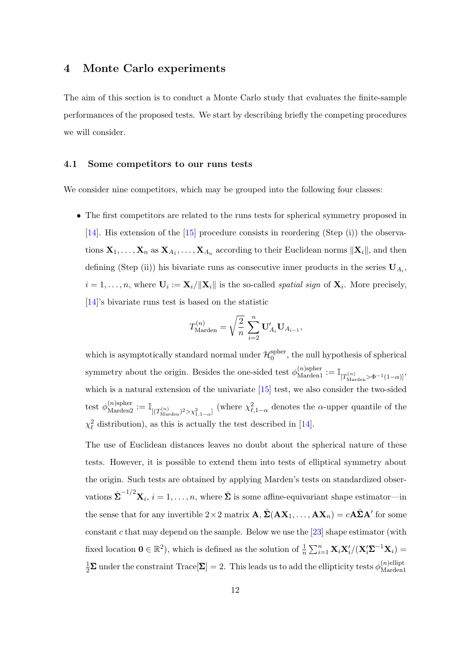### <span id="page-11-1"></span>4 Monte Carlo experiments

The aim of this section is to conduct a Monte Carlo study that evaluates the finite-sample performances of the proposed tests. We start by describing briefly the competing procedures we will consider.

### <span id="page-11-0"></span>4.1 Some competitors to our runs tests

We consider nine competitors, which may be grouped into the following four classes:

• The first competitors are related to the runs tests for spherical symmetry proposed in [\[14\]](#page-26-3). His extension of the [\[15\]](#page-26-2) procedure consists in reordering (Step (i)) the observations  $X_1, \ldots, X_n$  as  $X_{A_1}, \ldots, X_{A_n}$  according to their Euclidean norms  $\|X_i\|$ , and then defining (Step (ii)) his bivariate runs as consecutive inner products in the series  $U_{A_i}$ ,  $i = 1, \ldots, n$ , where  $\mathbf{U}_i := \mathbf{X}_i / ||\mathbf{X}_i||$  is the so-called *spatial sign* of  $\mathbf{X}_i$ . More precisely, [\[14\]](#page-26-3)'s bivariate runs test is based on the statistic

$$
T_{\mathrm{Marden}}^{(n)} = \sqrt{\frac{2}{n}} \, \sum_{i=2}^n \mathbf{U}_{A_i}' \mathbf{U}_{A_{i-1}},
$$

which is asymptotically standard normal under  $\mathcal{H}_0^{\text{spher}}$  $_0^{\text{spher}}$ , the null hypothesis of spherical symmetry about the origin. Besides the one-sided test  $\phi_{\text{Marden}}^{(n) \text{sphere}} := \mathbb{I}_{[T_{\text{Marden}}^{(n)} > \Phi^{-1}(1-\alpha)]}$ which is a natural extension of the univariate [\[15\]](#page-26-2) test, we also consider the two-sided test  $\phi_{\text{Marden2}}^{(n) \text{spher}} := \mathbb{I}_{[(T_{\text{Marden}}^{(n)})^2 > \chi_{1,1-\alpha}^2]}$  (where  $\chi_{\ell,1-\alpha}^2$  denotes the  $\alpha$ -upper quantile of the  $\chi^2_{\ell}$  distribution), as this is actually the test described in [\[14\]](#page-26-3).

The use of Euclidean distances leaves no doubt about the spherical nature of these tests. However, it is possible to extend them into tests of elliptical symmetry about the origin. Such tests are obtained by applying Marden's tests on standardized observations  $\hat{\Sigma}^{-1/2} \mathbf{X}_i$ ,  $i = 1, \ldots, n$ , where  $\hat{\Sigma}$  is some affine-equivariant shape estimator—in the sense that for any invertible  $2 \times 2$  matrix  $\mathbf{A}, \hat{\boldsymbol{\Sigma}}(\mathbf{A}\mathbf{X}_1,\dots,\mathbf{A}\mathbf{X}_n) = c\mathbf{A}\hat{\boldsymbol{\Sigma}}\mathbf{A}'$  for some constant c that may depend on the sample. Below we use the  $[23]$  shape estimator (with fixed location  $\mathbf{0} \in \mathbb{R}^2$ , which is defined as the solution of  $\frac{1}{n} \sum_{i=1}^n \mathbf{X}_i \mathbf{X}_i' / (\mathbf{X}_i' \mathbf{\Sigma}^{-1} \mathbf{X}_i) =$  $\frac{1}{2}\mathbf{\Sigma}$  under the constraint Trace $[\mathbf{\Sigma}] = 2$ . This leads us to add the ellipticity tests  $\phi_{\text{Marden}}^{(n) \text{ellipt}}$ Marden1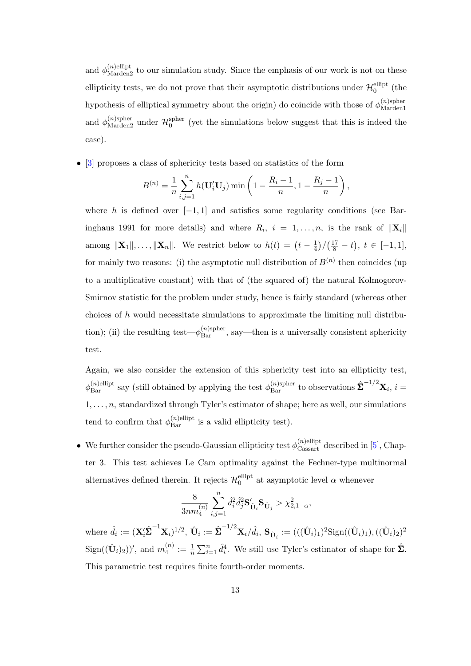and  $\phi_{\text{Marden2}}^{(n)$  ellipt to our simulation study. Since the emphasis of our work is not on these ellipticity tests, we do not prove that their asymptotic distributions under  $\mathcal{H}_0^{\text{ellipt}}$  $_0^{\text{empt}}$  (the hypothesis of elliptical symmetry about the origin) do coincide with those of  $\phi_{\text{Marden}}^{(n) \text{sphere}}$ Marden1 and  $\phi_{\mathrm{Marden2}}^{(n) \text{spher}}$  under  $\mathcal{H}_0^{\text{spher}}$  $_{0}^{\text{spner}}$  (yet the simulations below suggest that this is indeed the case).

• [\[3\]](#page-25-6) proposes a class of sphericity tests based on statistics of the form

$$
B^{(n)} = \frac{1}{n} \sum_{i,j=1}^{n} h(\mathbf{U}'_i \mathbf{U}_j) \min\left(1 - \frac{R_i - 1}{n}, 1 - \frac{R_j - 1}{n}\right),
$$

where h is defined over  $[-1, 1]$  and satisfies some regularity conditions (see Baringhaus 1991 for more details) and where  $R_i$ ,  $i = 1, ..., n$ , is the rank of  $\|\mathbf{X}_i\|$ among  $\|\mathbf{X}_1\|, \ldots, \|\mathbf{X}_n\|$ . We restrict below to  $h(t) = (t - \frac{1}{4})$  $\frac{1}{4}$ )/ $(\frac{17}{8} - t), t \in [-1, 1],$ for mainly two reasons: (i) the asymptotic null distribution of  $B^{(n)}$  then coincides (up to a multiplicative constant) with that of (the squared of) the natural Kolmogorov-Smirnov statistic for the problem under study, hence is fairly standard (whereas other choices of  $h$  would necessitate simulations to approximate the limiting null distribution); (ii) the resulting test— $\phi_{\text{Bar}}^{(n) \text{spher}}$ , say—then is a universally consistent sphericity test.

Again, we also consider the extension of this sphericity test into an ellipticity test,  $\phi_{\text{Bar}}^{(n)$ ellipt say (still obtained by applying the test  $\phi_{\text{Bar}}^{(n) \text{spher}}$  to observations  $\hat{\Sigma}^{-1/2} \mathbf{X}_i$ ,  $i =$  $1, \ldots, n$ , standardized through Tyler's estimator of shape; here as well, our simulations tend to confirm that  $\phi_{\text{Bar}}^{(n)$ ellipticity test).

• We further consider the pseudo-Gaussian ellipticity test  $\phi_{\text{Cassart}}^{(n)$  elliptic described in [\[5\]](#page-25-7), Chapter 3. This test achieves Le Cam optimality against the Fechner-type multinormal alternatives defined therein. It rejects  $\mathcal{H}_0^{\text{ellipt}}$  $_0^{\text{empty}}$  at asymptotic level  $\alpha$  whenever

$$
\frac{8}{3nm^{(n)}_4}\sum_{i,j=1}^n \hat{d}_i^2\hat{d}_j^2\mathbf{S'}_{\hat{\mathbf{U}}_i}\mathbf{S}_{\hat{\mathbf{U}}_j}>\chi^2_{2,1-\alpha},
$$

where  $\hat{d}_i := (\mathbf{X}_i' \hat{\boldsymbol{\Sigma}}^{-1} \mathbf{X}_i)^{1/2}, \ \hat{\mathbf{U}}_i := \hat{\boldsymbol{\Sigma}}^{-1/2} \mathbf{X}_i / \hat{d}_i, \ \mathbf{S}_{\hat{\mathbf{U}}_i} := (((\hat{\mathbf{U}}_i)_1)^2 \text{Sign}((\hat{\mathbf{U}}_i)_1), ((\hat{\mathbf{U}}_i)_2)^2$  $Sign((\hat{\mathbf{U}}_i)_2)$ ', and  $m_4^{(n)}$  $\hat{A}_4^{(n)} := \frac{1}{n} \sum_{i=1}^n \hat{d}_i^4$ . We still use Tyler's estimator of shape for  $\hat{\Sigma}$ . This parametric test requires finite fourth-order moments.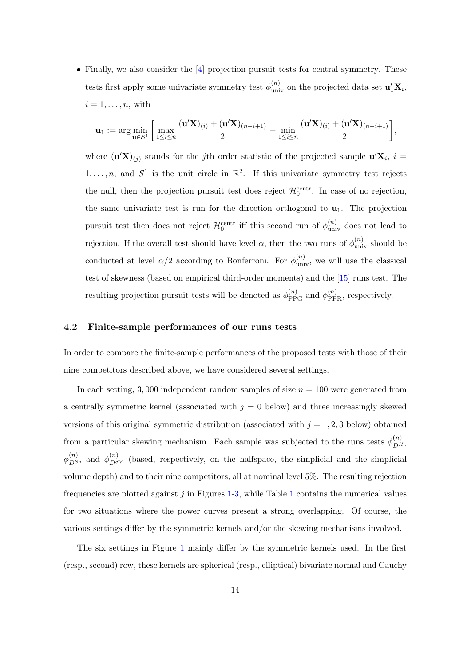• Finally, we also consider the [\[4\]](#page-25-0) projection pursuit tests for central symmetry. These tests first apply some univariate symmetry test  $\phi_{\text{univ}}^{(n)}$  on the projected data set  $\mathbf{u}'_1 \mathbf{X}_i$ ,  $i = 1, \ldots, n$ , with

$$
\mathbf{u}_1:=\arg\min_{\mathbf{u}\in\mathcal{S}^1}\bigg[\max_{1\leq i\leq n}\frac{(\mathbf{u}'\mathbf{X})_{(i)}+(\mathbf{u}'\mathbf{X})_{(n-i+1)}}{2}-\min_{1\leq i\leq n}\frac{(\mathbf{u}'\mathbf{X})_{(i)}+(\mathbf{u}'\mathbf{X})_{(n-i+1)}}{2}\bigg],
$$

where  $(\mathbf{u}'\mathbf{X})_{(j)}$  stands for the jth order statistic of the projected sample  $\mathbf{u}'\mathbf{X}_i$ ,  $i =$  $1, \ldots, n$ , and  $S^1$  is the unit circle in  $\mathbb{R}^2$ . If this univariate symmetry test rejects the null, then the projection pursuit test does reject  $\mathcal{H}_0^{\text{centr}}$ . In case of no rejection, the same univariate test is run for the direction orthogonal to  $\mathbf{u}_1$ . The projection pursuit test then does not reject  $\mathcal{H}_0^{\text{centr}}$  iff this second run of  $\phi_{\text{univ}}^{(n)}$  does not lead to rejection. If the overall test should have level  $\alpha$ , then the two runs of  $\phi_{\text{univ}}^{(n)}$  should be conducted at level  $\alpha/2$  according to Bonferroni. For  $\phi_{\text{univ}}^{(n)}$ , we will use the classical test of skewness (based on empirical third-order moments) and the [\[15\]](#page-26-2) runs test. The resulting projection pursuit tests will be denoted as  $\phi_{\text{PPG}}^{(n)}$  and  $\phi_{\text{PPR}}^{(n)}$ , respectively.

### <span id="page-13-0"></span>4.2 Finite-sample performances of our runs tests

In order to compare the finite-sample performances of the proposed tests with those of their nine competitors described above, we have considered several settings.

In each setting, 3,000 independent random samples of size  $n = 100$  were generated from a centrally symmetric kernel (associated with  $j = 0$  below) and three increasingly skewed versions of this original symmetric distribution (associated with  $j = 1, 2, 3$  below) obtained from a particular skewing mechanism. Each sample was subjected to the runs tests  $\phi_{DH}^{(n)}$ ,  $\phi_{DS}^{(n)}$ , and  $\phi_{DSV}^{(n)}$  (based, respectively, on the halfspace, the simplicial and the simplicial volume depth) and to their nine competitors, all at nominal level 5%. The resulting rejection frequencies are plotted against  $j$  in Figures [1-](#page-28-0)[3,](#page-31-0) while Table [1](#page-30-0) contains the numerical values for two situations where the power curves present a strong overlapping. Of course, the various settings differ by the symmetric kernels and/or the skewing mechanisms involved.

The six settings in Figure [1](#page-28-0) mainly differ by the symmetric kernels used. In the first (resp., second) row, these kernels are spherical (resp., elliptical) bivariate normal and Cauchy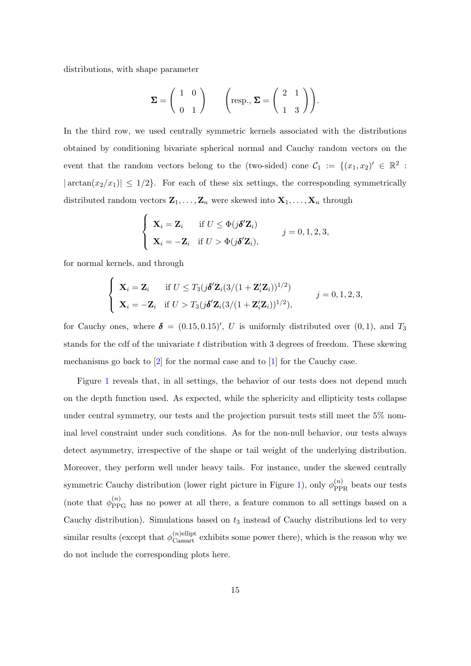distributions, with shape parameter

$$
\Sigma = \left(\begin{array}{cc} 1 & 0 \\ 0 & 1 \end{array}\right) \qquad \left(\text{resp., } \Sigma = \left(\begin{array}{cc} 2 & 1 \\ 1 & 3 \end{array}\right)\right).
$$

In the third row, we used centrally symmetric kernels associated with the distributions obtained by conditioning bivariate spherical normal and Cauchy random vectors on the event that the random vectors belong to the (two-sided) cone  $C_1 := \{(x_1, x_2) \in \mathbb{R}^2 :$  $|\arctan(x_2/x_1)| \leq 1/2$ . For each of these six settings, the corresponding symmetrically distributed random vectors  $\mathbf{Z}_1, \ldots, \mathbf{Z}_n$  were skewed into  $\mathbf{X}_1, \ldots, \mathbf{X}_n$  through

$$
\begin{cases}\n\mathbf{X}_i = \mathbf{Z}_i & \text{if } U \leq \Phi(j\boldsymbol{\delta}'\mathbf{Z}_i) \\
\mathbf{X}_i = -\mathbf{Z}_i & \text{if } U > \Phi(j\boldsymbol{\delta}'\mathbf{Z}_i),\n\end{cases} \quad j = 0, 1, 2, 3,
$$

for normal kernels, and through

$$
\begin{cases}\n\mathbf{X}_i = \mathbf{Z}_i & \text{if } U \leq T_3(j\boldsymbol{\delta}'\mathbf{Z}_i(3/(1+\mathbf{Z}_i'\mathbf{Z}_i))^{1/2}) \\
\mathbf{X}_i = -\mathbf{Z}_i & \text{if } U > T_3(j\boldsymbol{\delta}'\mathbf{Z}_i(3/(1+\mathbf{Z}_i'\mathbf{Z}_i))^{1/2}),\n\end{cases} \qquad j = 0, 1, 2, 3,
$$

for Cauchy ones, where  $\delta = (0.15, 0.15)'$ , U is uniformly distributed over  $(0, 1)$ , and  $T_3$ stands for the cdf of the univariate  $t$  distribution with 3 degrees of freedom. These skewing mechanisms go back to [\[2\]](#page-25-8) for the normal case and to [\[1\]](#page-25-9) for the Cauchy case.

Figure [1](#page-28-0) reveals that, in all settings, the behavior of our tests does not depend much on the depth function used. As expected, while the sphericity and ellipticity tests collapse under central symmetry, our tests and the projection pursuit tests still meet the 5% nominal level constraint under such conditions. As for the non-null behavior, our tests always detect asymmetry, irrespective of the shape or tail weight of the underlying distribution. Moreover, they perform well under heavy tails. For instance, under the skewed centrally symmetric Cauchy distribution (lower right picture in Figure [1\)](#page-28-0), only  $\phi_{\rm PPR}^{(n)}$  beats our tests (note that  $\phi_{PPG}^{(n)}$  has no power at all there, a feature common to all settings based on a Cauchy distribution). Simulations based on  $t_3$  instead of Cauchy distributions led to very similar results (except that  $\phi_{\text{Casar}t}^{(n)$ ellipt exhibits some power there), which is the reason why we do not include the corresponding plots here.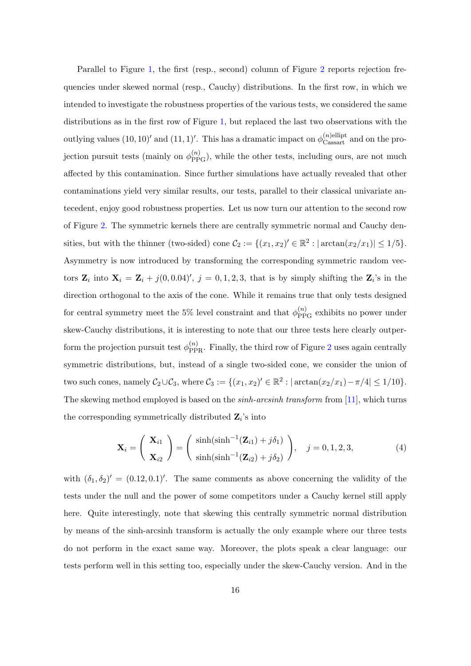Parallel to Figure [1,](#page-28-0) the first (resp., second) column of Figure [2](#page-29-0) reports rejection frequencies under skewed normal (resp., Cauchy) distributions. In the first row, in which we intended to investigate the robustness properties of the various tests, we considered the same distributions as in the first row of Figure [1,](#page-28-0) but replaced the last two observations with the outlying values  $(10, 10)'$  and  $(11, 1)'$ . This has a dramatic impact on  $\phi_{\text{Cassart}}^{(n)$  and on the projection pursuit tests (mainly on  $\phi_{PPG}^{(n)}$ ), while the other tests, including ours, are not much affected by this contamination. Since further simulations have actually revealed that other contaminations yield very similar results, our tests, parallel to their classical univariate antecedent, enjoy good robustness properties. Let us now turn our attention to the second row of Figure [2.](#page-29-0) The symmetric kernels there are centrally symmetric normal and Cauchy densities, but with the thinner (two-sided) cone  $\mathcal{C}_2 := \{(x_1, x_2)' \in \mathbb{R}^2 : |\arctan(x_2/x_1)| \leq 1/5\}.$ Asymmetry is now introduced by transforming the corresponding symmetric random vectors  $\mathbf{Z}_i$  into  $\mathbf{X}_i = \mathbf{Z}_i + j(0, 0.04)'$ ,  $j = 0, 1, 2, 3$ , that is by simply shifting the  $\mathbf{Z}_i$ 's in the direction orthogonal to the axis of the cone. While it remains true that only tests designed for central symmetry meet the 5% level constraint and that  $\phi_{PPG}^{(n)}$  exhibits no power under skew-Cauchy distributions, it is interesting to note that our three tests here clearly outperform the projection pursuit test  $\phi_{\text{PPR}}^{(n)}$ . Finally, the third row of Figure [2](#page-29-0) uses again centrally symmetric distributions, but, instead of a single two-sided cone, we consider the union of two such cones, namely  $C_2 \cup C_3$ , where  $C_3 := \{(x_1, x_2)' \in \mathbb{R}^2 : |\arctan(x_2/x_1) - \pi/4| \leq 1/10\}$ . The skewing method employed is based on the *sinh-arcsinh transform* from [\[11\]](#page-25-10), which turns the corresponding symmetrically distributed  $\mathbf{Z}_i$ 's into

<span id="page-15-0"></span>
$$
\mathbf{X}_{i} = \begin{pmatrix} \mathbf{X}_{i1} \\ \mathbf{X}_{i2} \end{pmatrix} = \begin{pmatrix} \sinh(\sinh^{-1}(\mathbf{Z}_{i1}) + j\delta_{1}) \\ \sinh(\sinh^{-1}(\mathbf{Z}_{i2}) + j\delta_{2}) \end{pmatrix}, \quad j = 0, 1, 2, 3,
$$
 (4)

with  $(\delta_1, \delta_2)' = (0.12, 0.1)'$ . The same comments as above concerning the validity of the tests under the null and the power of some competitors under a Cauchy kernel still apply here. Quite interestingly, note that skewing this centrally symmetric normal distribution by means of the sinh-arcsinh transform is actually the only example where our three tests do not perform in the exact same way. Moreover, the plots speak a clear language: our tests perform well in this setting too, especially under the skew-Cauchy version. And in the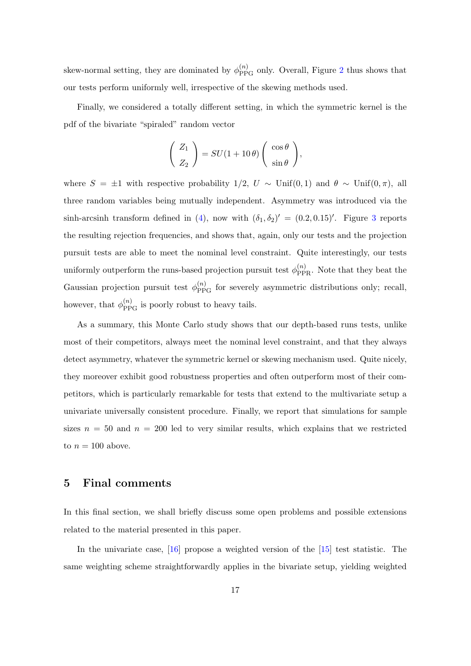skew-normal setting, they are dominated by  $\phi_{PPG}^{(n)}$  only. Overall, Figure [2](#page-29-0) thus shows that our tests perform uniformly well, irrespective of the skewing methods used.

Finally, we considered a totally different setting, in which the symmetric kernel is the pdf of the bivariate "spiraled" random vector

$$
\left(\begin{array}{c} Z_1 \\ Z_2 \end{array}\right) = SU(1 + 10\theta) \left(\begin{array}{c} \cos \theta \\ \sin \theta \end{array}\right),
$$

where  $S = \pm 1$  with respective probability 1/2,  $U \sim$  Unif(0, 1) and  $\theta \sim$  Unif(0,  $\pi$ ), all three random variables being mutually independent. Asymmetry was introduced via the sinh-arcsinh transform defined in [\(4\)](#page-15-0), now with  $(\delta_1, \delta_2)' = (0.2, 0.15)'$ . Figure [3](#page-31-0) reports the resulting rejection frequencies, and shows that, again, only our tests and the projection pursuit tests are able to meet the nominal level constraint. Quite interestingly, our tests uniformly outperform the runs-based projection pursuit test  $\phi_{\text{PPR}}^{(n)}$ . Note that they beat the Gaussian projection pursuit test  $\phi_{PPG}^{(n)}$  for severely asymmetric distributions only; recall, however, that  $\phi_{\text{PPG}}^{(n)}$  is poorly robust to heavy tails.

As a summary, this Monte Carlo study shows that our depth-based runs tests, unlike most of their competitors, always meet the nominal level constraint, and that they always detect asymmetry, whatever the symmetric kernel or skewing mechanism used. Quite nicely, they moreover exhibit good robustness properties and often outperform most of their competitors, which is particularly remarkable for tests that extend to the multivariate setup a univariate universally consistent procedure. Finally, we report that simulations for sample sizes  $n = 50$  and  $n = 200$  led to very similar results, which explains that we restricted to  $n = 100$  above.

### <span id="page-16-0"></span>5 Final comments

In this final section, we shall briefly discuss some open problems and possible extensions related to the material presented in this paper.

In the univariate case, [\[16\]](#page-26-10) propose a weighted version of the [\[15\]](#page-26-2) test statistic. The same weighting scheme straightforwardly applies in the bivariate setup, yielding weighted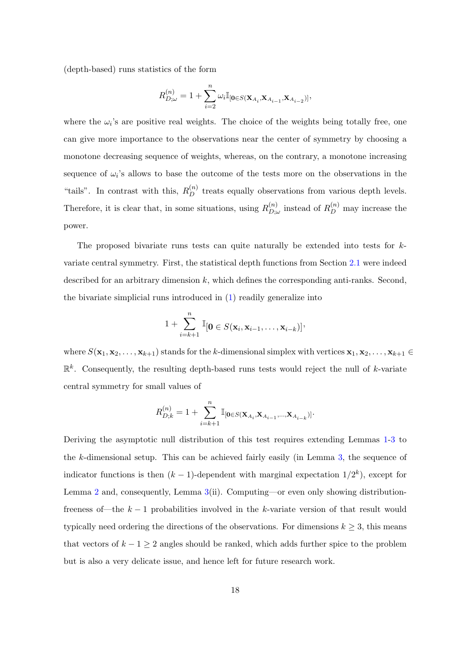(depth-based) runs statistics of the form

$$
R_{D;\omega}^{(n)} = 1 + \sum_{i=2}^{n} \omega_i \mathbb{I}_{\left[\mathbf{0} \in S(\mathbf{X}_{A_i}, \mathbf{X}_{A_{i-1}}, \mathbf{X}_{A_{i-2}})\right]},
$$

where the  $\omega_i$ 's are positive real weights. The choice of the weights being totally free, one can give more importance to the observations near the center of symmetry by choosing a monotone decreasing sequence of weights, whereas, on the contrary, a monotone increasing sequence of  $\omega_i$ 's allows to base the outcome of the tests more on the observations in the "tails". In contrast with this,  $R_D^{(n)}$  treats equally observations from various depth levels. Therefore, it is clear that, in some situations, using  $R_{D}^{(n)}$  $\sum_{D;\omega}^{(n)}$  instead of  $R_D^{(n)}$  may increase the power.

The proposed bivariate runs tests can quite naturally be extended into tests for  $k$ variate central symmetry. First, the statistical depth functions from Section [2.1](#page-4-0) were indeed described for an arbitrary dimension  $k$ , which defines the corresponding anti-ranks. Second, the bivariate simplicial runs introduced in [\(1\)](#page-6-2) readily generalize into

$$
1+\sum_{i=k+1}^n \mathbb{I}_{[\mathbf{0}\in S(\mathbf{x}_i,\mathbf{x}_{i-1},\ldots,\mathbf{x}_{i-k})]},
$$

where  $S(\mathbf{x}_1, \mathbf{x}_2, \dots, \mathbf{x}_{k+1})$  stands for the k-dimensional simplex with vertices  $\mathbf{x}_1, \mathbf{x}_2, \dots, \mathbf{x}_{k+1} \in$  $\mathbb{R}^k$ . Consequently, the resulting depth-based runs tests would reject the null of k-variate central symmetry for small values of

$$
R^{(n)}_{D;k}=1+\sum_{i=k+1}^{n}\mathbb{I}_{[\mathbf{0}\in S(\mathbf{X}_{A_{i}},\mathbf{X}_{A_{i-1}},\ldots,\mathbf{X}_{A_{i-k}})]}.
$$

Deriving the asymptotic null distribution of this test requires extending Lemmas [1-](#page-9-1)[3](#page-10-0) to the k-dimensional setup. This can be achieved fairly easily (in Lemma [3,](#page-10-0) the sequence of indicator functions is then  $(k-1)$ -dependent with marginal expectation  $1/2^k$ ), except for Lemma [2](#page-10-1) and, consequently, Lemma [3\(](#page-10-0)ii). Computing—or even only showing distributionfreeness of—the  $k-1$  probabilities involved in the k-variate version of that result would typically need ordering the directions of the observations. For dimensions  $k \geq 3$ , this means that vectors of  $k - 1 \geq 2$  angles should be ranked, which adds further spice to the problem but is also a very delicate issue, and hence left for future research work.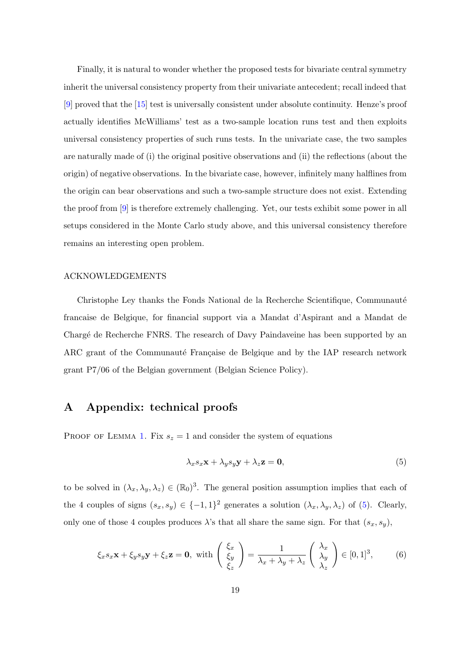Finally, it is natural to wonder whether the proposed tests for bivariate central symmetry inherit the universal consistency property from their univariate antecedent; recall indeed that [\[9\]](#page-25-4) proved that the [\[15\]](#page-26-2) test is universally consistent under absolute continuity. Henze's proof actually identifies McWilliams' test as a two-sample location runs test and then exploits universal consistency properties of such runs tests. In the univariate case, the two samples are naturally made of (i) the original positive observations and (ii) the reflections (about the origin) of negative observations. In the bivariate case, however, infinitely many halflines from the origin can bear observations and such a two-sample structure does not exist. Extending the proof from [\[9\]](#page-25-4) is therefore extremely challenging. Yet, our tests exhibit some power in all setups considered in the Monte Carlo study above, and this universal consistency therefore remains an interesting open problem.

#### ACKNOWLEDGEMENTS

Christophe Ley thanks the Fonds National de la Recherche Scientifique, Communauté francaise de Belgique, for financial support via a Mandat d'Aspirant and a Mandat de Charg´e de Recherche FNRS. The research of Davy Paindaveine has been supported by an ARC grant of the Communauté Française de Belgique and by the IAP research network grant P7/06 of the Belgian government (Belgian Science Policy).

# A Appendix: technical proofs

PROOF OF LEMMA [1.](#page-9-1) Fix  $s_z = 1$  and consider the system of equations

<span id="page-18-0"></span>
$$
\lambda_x s_x \mathbf{x} + \lambda_y s_y \mathbf{y} + \lambda_z \mathbf{z} = \mathbf{0},\tag{5}
$$

to be solved in  $(\lambda_x, \lambda_y, \lambda_z) \in (\mathbb{R}_0)^3$ . The general position assumption implies that each of the 4 couples of signs  $(s_x, s_y) \in \{-1, 1\}^2$  generates a solution  $(\lambda_x, \lambda_y, \lambda_z)$  of [\(5\)](#page-18-0). Clearly, only one of those 4 couples produces  $\lambda$ 's that all share the same sign. For that  $(s_x, s_y)$ ,

<span id="page-18-1"></span>
$$
\xi_x s_x \mathbf{x} + \xi_y s_y \mathbf{y} + \xi_z \mathbf{z} = \mathbf{0}, \text{ with } \begin{pmatrix} \xi_x \\ \xi_y \\ \xi_z \end{pmatrix} = \frac{1}{\lambda_x + \lambda_y + \lambda_z} \begin{pmatrix} \lambda_x \\ \lambda_y \\ \lambda_z \end{pmatrix} \in [0, 1]^3, \quad (6)
$$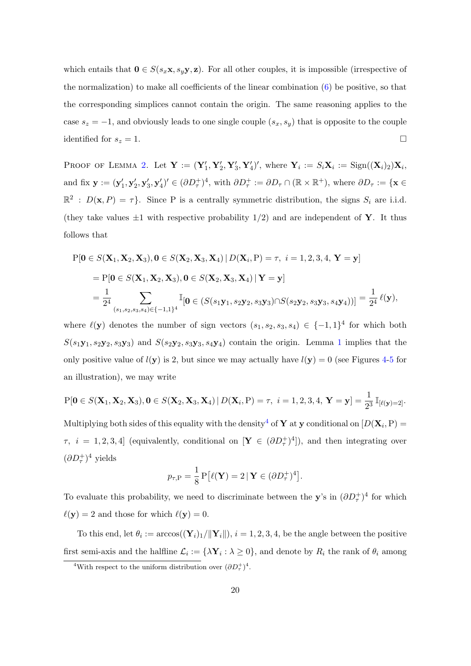which entails that  $\mathbf{0} \in S(s_x \mathbf{x}, s_y \mathbf{y}, \mathbf{z})$ . For all other couples, it is impossible (irrespective of the normalization) to make all coefficients of the linear combination  $(6)$  be positive, so that the corresponding simplices cannot contain the origin. The same reasoning applies to the case  $s_z = -1$ , and obviously leads to one single couple  $(s_x, s_y)$  that is opposite to the couple identified for  $s_z = 1$ .

PROOF OF LEMMA [2.](#page-10-1) Let  $\mathbf{Y} := (\mathbf{Y}'_1, \mathbf{Y}'_2, \mathbf{Y}'_3, \mathbf{Y}'_4)'$ , where  $\mathbf{Y}_i := S_i \mathbf{X}_i := \text{Sign}((\mathbf{X}_i)_2) \mathbf{X}_i$ , and fix  $\mathbf{y} := (\mathbf{y}'_1, \mathbf{y}'_2, \mathbf{y}'_3, \mathbf{y}'_4)' \in (\partial D_\tau^+)^4$ , with  $\partial D_\tau^+ := \partial D_\tau \cap (\mathbb{R} \times \mathbb{R}^+)$ , where  $\partial D_\tau := {\mathbf{x} \in \mathbb{R}^+}$  $\mathbb{R}^2$ :  $D(\mathbf{x}, P) = \tau$ . Since P is a centrally symmetric distribution, the signs  $S_i$  are i.i.d. (they take values  $\pm 1$  with respective probability  $1/2$ ) and are independent of **Y**. It thus follows that

<span id="page-19-1"></span>
$$
P[0 \in S(X_1, X_2, X_3), 0 \in S(X_2, X_3, X_4) | D(X_i, P) = \tau, i = 1, 2, 3, 4, Y = y]
$$
  
=  $P[0 \in S(X_1, X_2, X_3), 0 \in S(X_2, X_3, X_4) | Y = y]$   
=  $\frac{1}{2^4} \sum_{(s_1, s_2, s_3, s_4) \in \{-1, 1\}^4} \mathbb{I}[0 \in (S(s_1y_1, s_2y_2, s_3y_3) \cap S(s_2y_2, s_3y_3, s_4y_4))] = \frac{1}{2^4} \ell(y),$ 

where  $\ell(\mathbf{y})$  denotes the number of sign vectors  $(s_1, s_2, s_3, s_4) \in \{-1,1\}^4$  for which both  $S(s_1y_1, s_2y_2, s_3y_3)$  $S(s_1y_1, s_2y_2, s_3y_3)$  $S(s_1y_1, s_2y_2, s_3y_3)$  and  $S(s_2y_2, s_3y_3, s_4y_4)$  contain the origin. Lemma 1 implies that the only positive value of  $l(y)$  is 2, but since we may actually have  $l(y) = 0$  (see Figures [4-](#page-32-0)[5](#page-32-1) for an illustration), we may write

$$
P[\mathbf{0} \in S(\mathbf{X}_1, \mathbf{X}_2, \mathbf{X}_3), \mathbf{0} \in S(\mathbf{X}_2, \mathbf{X}_3, \mathbf{X}_4) | D(\mathbf{X}_i, P) = \tau, \ i = 1, 2, 3, 4, \ \mathbf{Y} = \mathbf{y}] = \frac{1}{2^3} \mathbb{I}_{[\ell(\mathbf{y}) = 2]}.
$$

Multiplying both sides of this equality with the density<sup>[4](#page-19-0)</sup> of **Y** at **y** conditional on  $[D(\mathbf{X}_i, \text{P}) =$  $\tau$ ,  $i = 1, 2, 3, 4$  (equivalently, conditional on  $[\mathbf{Y} \in (\partial D_{\tau}^+)^4]$ ), and then integrating over  $(\partial D_{\tau}^+)^4$  yields

$$
p_{\tau,\mathcal{P}} = \frac{1}{8} \mathcal{P}\left[\ell(\mathbf{Y}) = 2 \,|\, \mathbf{Y} \in (\partial D_{\tau}^+)^4\right].
$$

To evaluate this probability, we need to discriminate between the y's in  $(\partial D_{\tau}^{+})^{4}$  for which  $\ell(\mathbf{y}) = 2$  and those for which  $\ell(\mathbf{y}) = 0$ .

To this end, let  $\theta_i := \arccos((\mathbf{Y}_i)_1/\|\mathbf{Y}_i\|), i = 1, 2, 3, 4$ , be the angle between the positive first semi-axis and the halfline  $\mathcal{L}_i := {\lambda \mathbf{Y}_i : \lambda \geq 0}$ , and denote by  $R_i$  the rank of  $\theta_i$  among

<span id="page-19-0"></span><sup>&</sup>lt;sup>4</sup>With respect to the uniform distribution over  $(\partial D_{\tau}^+)^4$ .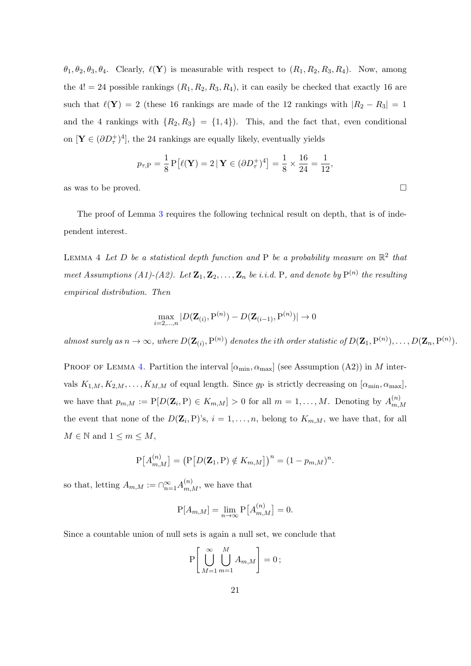$\theta_1, \theta_2, \theta_3, \theta_4$ . Clearly,  $\ell(\mathbf{Y})$  is measurable with respect to  $(R_1, R_2, R_3, R_4)$ . Now, among the 4! = 24 possible rankings  $(R_1, R_2, R_3, R_4)$ , it can easily be checked that exactly 16 are such that  $\ell(Y) = 2$  (these 16 rankings are made of the 12 rankings with  $|R_2 - R_3| = 1$ and the 4 rankings with  $\{R_2, R_3\} = \{1, 4\}$ . This, and the fact that, even conditional on  $[\mathbf{Y} \in (\partial D^+_{\tau})^4]$ , the 24 rankings are equally likely, eventually yields

$$
p_{\tau,\mathrm{P}} = \frac{1}{8} \mathrm{P}\big[\ell(\mathbf{Y}) = 2 \,|\,\mathbf{Y} \in (\partial D_{\tau}^+)^4\big] = \frac{1}{8} \times \frac{16}{24} = \frac{1}{12},
$$

as was to be proved.

The proof of Lemma [3](#page-10-0) requires the following technical result on depth, that is of independent interest.

<span id="page-20-0"></span>LEMMA 4 Let D be a statistical depth function and P be a probability measure on  $\mathbb{R}^2$  that meet Assumptions (A1)-(A2). Let  $\mathbf{Z}_1, \mathbf{Z}_2, \ldots, \mathbf{Z}_n$  be i.i.d. P, and denote by  $P^{(n)}$  the resulting empirical distribution. Then

$$
\max_{i=2,\dots,n} |D(\mathbf{Z}_{(i)},\mathbf{P}^{(n)}) - D(\mathbf{Z}_{(i-1)},\mathbf{P}^{(n)})| \to 0
$$

almost surely as  $n \to \infty$ , where  $D(\mathbf{Z}_{(i)}, \mathbf{P}^{(n)})$  denotes the ith order statistic of  $D(\mathbf{Z}_1, \mathbf{P}^{(n)}), \ldots, D(\mathbf{Z}_n, \mathbf{P}^{(n)})$ .

PROOF OF LEMMA [4.](#page-20-0) Partition the interval  $[\alpha_{\min}, \alpha_{\max}]$  (see Assumption (A2)) in M intervals  $K_{1,M}, K_{2,M}, \ldots, K_{M,M}$  of equal length. Since  $g_P$  is strictly decreasing on  $[\alpha_{\min}, \alpha_{\max}]$ , we have that  $p_{m,M} := \mathbb{P}[D(\mathbf{Z}_i, \mathbf{P}) \in K_{m,M}] > 0$  for all  $m = 1, \ldots, M$ . Denoting by  $A_{m}^{(n)}$  $m, M$ the event that none of the  $D(\mathbf{Z}_i, P)$ 's,  $i = 1, \ldots, n$ , belong to  $K_{m,M}$ , we have that, for all  $M \in \mathbb{N}$  and  $1 \leq m \leq M$ ,

$$
P[A_{m,M}^{(n)}] = (P[D(\mathbf{Z}_1, P) \notin K_{m,M}])^n = (1 - p_{m,M})^n.
$$

so that, letting  $A_{m,M} := \bigcap_{n=1}^{\infty} A_{m,M}^{(n)}$ , we have that

$$
P[A_{m,M}] = \lim_{n \to \infty} P[A_{m,M}^{(n)}] = 0.
$$

Since a countable union of null sets is again a null set, we conclude that

$$
P\left[\bigcup_{M=1}^{\infty}\bigcup_{m=1}^{M}A_{m,M}\right]=0\,;
$$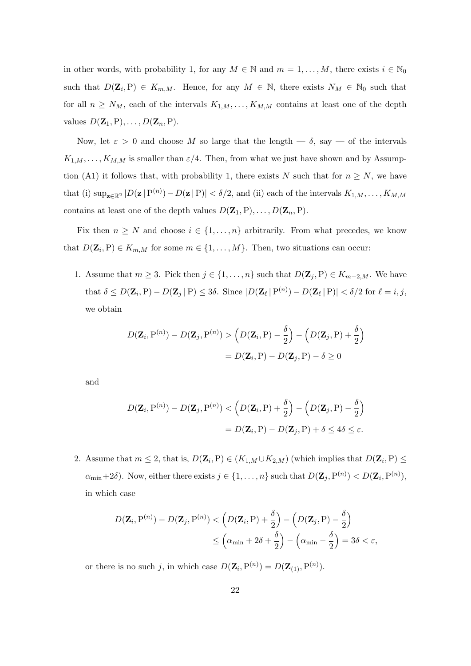in other words, with probability 1, for any  $M \in \mathbb{N}$  and  $m = 1, \ldots, M$ , there exists  $i \in \mathbb{N}_0$ such that  $D(\mathbf{Z}_i, P) \in K_{m,M}$ . Hence, for any  $M \in \mathbb{N}$ , there exists  $N_M \in \mathbb{N}_0$  such that for all  $n \geq N_M$ , each of the intervals  $K_{1,M}, \ldots, K_{M,M}$  contains at least one of the depth values  $D(\mathbf{Z}_1,\mathbf{P}),\ldots,D(\mathbf{Z}_n,\mathbf{P}).$ 

Now, let  $\varepsilon > 0$  and choose M so large that the length  $-\delta$ , say  $-\delta$  the intervals  $K_{1,M},\ldots,K_{M,M}$  is smaller than  $\varepsilon/4$ . Then, from what we just have shown and by Assumption (A1) it follows that, with probability 1, there exists N such that for  $n \geq N$ , we have that (i)  $\sup_{\mathbf{z}\in\mathbb{R}^2} |D(\mathbf{z} | P^{(n)}) - D(\mathbf{z} | P)| < \delta/2$ , and (ii) each of the intervals  $K_{1,M}, \ldots, K_{M,M}$ contains at least one of the depth values  $D(\mathbf{Z}_1, P), \ldots, D(\mathbf{Z}_n, P)$ .

Fix then  $n \geq N$  and choose  $i \in \{1, ..., n\}$  arbitrarily. From what precedes, we know that  $D(\mathbf{Z}_i, P) \in K_{m,M}$  for some  $m \in \{1, \ldots, M\}$ . Then, two situations can occur:

1. Assume that  $m \geq 3$ . Pick then  $j \in \{1, ..., n\}$  such that  $D(\mathbf{Z}_j, P) \in K_{m-2,M}$ . We have that  $\delta \le D(\mathbf{Z}_i, P) - D(\mathbf{Z}_j | P) \le 3\delta$ . Since  $|D(\mathbf{Z}_{\ell} | P^{(n)}) - D(\mathbf{Z}_{\ell} | P)| < \delta/2$  for  $\ell = i, j$ , we obtain

$$
D(\mathbf{Z}_i, P^{(n)}) - D(\mathbf{Z}_j, P^{(n)}) > (D(\mathbf{Z}_i, P) - \frac{\delta}{2}) - (D(\mathbf{Z}_j, P) + \frac{\delta}{2})
$$
  
=  $D(\mathbf{Z}_i, P) - D(\mathbf{Z}_j, P) - \delta \ge 0$ 

and

$$
D(\mathbf{Z}_i, P^{(n)}) - D(\mathbf{Z}_j, P^{(n)}) < \left(D(\mathbf{Z}_i, P) + \frac{\delta}{2}\right) - \left(D(\mathbf{Z}_j, P) - \frac{\delta}{2}\right) \\
= D(\mathbf{Z}_i, P) - D(\mathbf{Z}_j, P) + \delta \le 4\delta \le \varepsilon.
$$

2. Assume that  $m \leq 2$ , that is,  $D(\mathbf{Z}_i, P) \in (K_{1,M} \cup K_{2,M})$  (which implies that  $D(\mathbf{Z}_i, P) \leq$  $\alpha_{\min}+2\delta$ ). Now, either there exists  $j \in \{1,\ldots,n\}$  such that  $D(\mathbf{Z}_j, \mathrm{P}^{(n)}) < D(\mathbf{Z}_i, \mathrm{P}^{(n)})$ , in which case

$$
D(\mathbf{Z}_i, P^{(n)}) - D(\mathbf{Z}_j, P^{(n)}) < \left(D(\mathbf{Z}_i, P) + \frac{\delta}{2}\right) - \left(D(\mathbf{Z}_j, P) - \frac{\delta}{2}\right) \\
&\leq \left(\alpha_{\min} + 2\delta + \frac{\delta}{2}\right) - \left(\alpha_{\min} - \frac{\delta}{2}\right) = 3\delta < \varepsilon,
$$

or there is no such j, in which case  $D(\mathbf{Z}_i, \mathbf{P}^{(n)}) = D(\mathbf{Z}_{(1)}, \mathbf{P}^{(n)})$ .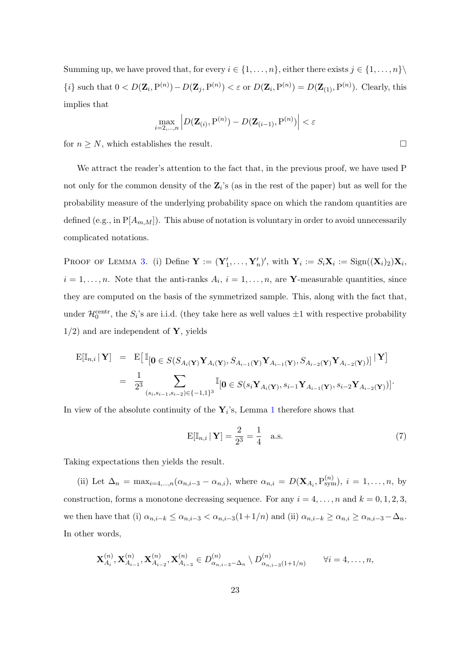Summing up, we have proved that, for every  $i \in \{1, \ldots, n\}$ , either there exists  $j \in \{1, \ldots, n\}$  $\{i\}$  such that  $0 < D(\mathbf{Z}_i, P^{(n)}) - D(\mathbf{Z}_j, P^{(n)}) < \varepsilon$  or  $D(\mathbf{Z}_i, P^{(n)}) = D(\mathbf{Z}_{(1)}, P^{(n)})$ . Clearly, this implies that

$$
\max_{i=2,\ldots,n} \left| D(\mathbf{Z}_{(i)},\mathbf{P}^{(n)}) - D(\mathbf{Z}_{(i-1)},\mathbf{P}^{(n)}) \right| < \varepsilon
$$

for  $n \geq N$ , which establishes the result.

We attract the reader's attention to the fact that, in the previous proof, we have used P not only for the common density of the  $\mathbf{Z}_i$ 's (as in the rest of the paper) but as well for the probability measure of the underlying probability space on which the random quantities are defined (e.g., in  $P[A_{m,M}]$ ). This abuse of notation is voluntary in order to avoid unnecessarily complicated notations.

PROOF OF LEMMA [3.](#page-10-0) (i) Define  $\mathbf{Y} := (\mathbf{Y}'_1, \dots, \mathbf{Y}'_n)'$ , with  $\mathbf{Y}_i := S_i \mathbf{X}_i := \text{Sign}((\mathbf{X}_i)_2) \mathbf{X}_i$ ,  $i = 1, \ldots, n$ . Note that the anti-ranks  $A_i$ ,  $i = 1, \ldots, n$ , are **Y**-measurable quantities, since they are computed on the basis of the symmetrized sample. This, along with the fact that, under  $\mathcal{H}_0^{\text{centr}}$ , the  $S_i$ 's are i.i.d. (they take here as well values  $\pm 1$  with respective probability  $1/2$ ) and are independent of Y, yields

$$
\begin{array}{rcl}\n\mathbf{E}[\mathbb{I}_{n,i} \mid \mathbf{Y}] & = & \mathbf{E}\big[\,\mathbb{I}_{\left[\mathbf{0} \in S(S_{A_i(\mathbf{Y})} \mathbf{Y}_{A_i(\mathbf{Y})}, S_{A_{i-1}(\mathbf{Y})} \mathbf{Y}_{A_{i-1}(\mathbf{Y})}, S_{A_{i-2}(\mathbf{Y})} \mathbf{Y}_{A_{i-2}(\mathbf{Y})})\right] \mid \mathbf{Y}\big] \\
& = & \frac{1}{2^3} \sum_{(s_i, s_{i-1}, s_{i-2}) \in \{-1, 1\}^3} \mathbb{I}_{\left[\mathbf{0} \in S(s_i \mathbf{Y}_{A_i(\mathbf{Y})}, s_{i-1} \mathbf{Y}_{A_{i-1}(\mathbf{Y})}, s_{i-2} \mathbf{Y}_{A_{i-2}(\mathbf{Y})}\right)\big]}\n\end{array}
$$

In view of the absolute continuity of the  $Y_i$ 's, Lemma [1](#page-9-1) therefore shows that

$$
E[\mathbb{I}_{n,i} \mid \mathbf{Y}] = \frac{2}{2^3} = \frac{1}{4} \quad \text{a.s.} \tag{7}
$$

Taking expectations then yields the result.

(ii) Let  $\Delta_n = \max_{i=4,\dots,n} (\alpha_{n,i-3} - \alpha_{n,i}),$  where  $\alpha_{n,i} = D(\mathbf{X}_{A_i}, P_{sym}^{(n)}), i = 1,\dots,n$ , by construction, forms a monotone decreasing sequence. For any  $i = 4, \ldots, n$  and  $k = 0, 1, 2, 3$ , we then have that (i)  $\alpha_{n,i-k} \leq \alpha_{n,i-3} < \alpha_{n,i-3}(1+1/n)$  and (ii)  $\alpha_{n,i-k} \geq \alpha_{n,i} \geq \alpha_{n,i-3} - \Delta_n$ . In other words,

$$
\mathbf{X}_{A_i}^{(n)}, \mathbf{X}_{A_{i-1}}^{(n)}, \mathbf{X}_{A_{i-2}}^{(n)}, \mathbf{X}_{A_{i-3}}^{(n)} \in D_{\alpha_{n,i-3}-\Delta_n}^{(n)} \setminus D_{\alpha_{n,i-3}(1+1/n)}^{(n)} \qquad \forall i=4,\ldots,n,
$$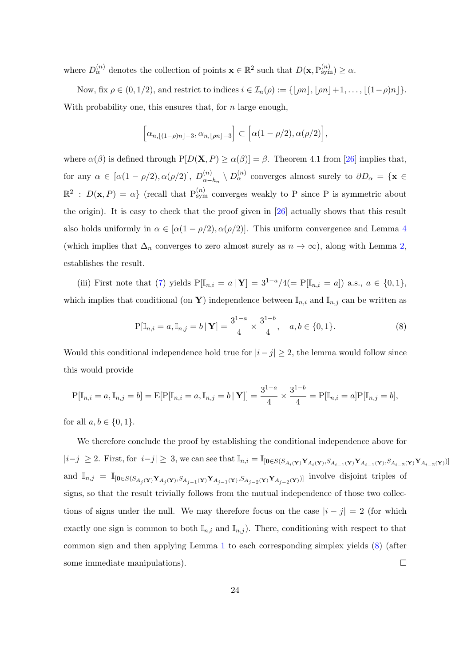where  $D_{\alpha}^{(n)}$  denotes the collection of points  $\mathbf{x} \in \mathbb{R}^2$  such that  $D(\mathbf{x}, P_{sym}^{(n)}) \ge \alpha$ .

Now, fix  $\rho \in (0, 1/2)$ , and restrict to indices  $i \in \mathcal{I}_n(\rho) := \{\lfloor \rho n \rfloor, \lfloor \rho n \rfloor + 1, \ldots, \lfloor (1-\rho)n \rfloor \}.$ With probability one, this ensures that, for  $n$  large enough,

$$
\[\alpha_{n,\lfloor(1-\rho)n\rfloor-3},\alpha_{n,\lfloor\rho n\rfloor-3}\]\subset\big[\alpha(1-\rho/2),\alpha(\rho/2)\big],
$$

where  $\alpha(\beta)$  is defined through  $P[D(\mathbf{X}, P) \ge \alpha(\beta)] = \beta$ . Theorem 4.1 from [\[26\]](#page-27-3) implies that, for any  $\alpha \in [\alpha(1-\rho/2), \alpha(\rho/2)], D_{\alpha}^{(n)}$  $\alpha_{\alpha-h_n}^{(n)} \setminus D_{\alpha}^{(n)}$  converges almost surely to  $\partial D_{\alpha} = {\mathbf{x} \in \mathbb{R}^n}$  $\mathbb{R}^2$ :  $D(\mathbf{x}, P) = \alpha$  (recall that  $P_{sym}^{(n)}$  converges weakly to P since P is symmetric about the origin). It is easy to check that the proof given in [\[26\]](#page-27-3) actually shows that this result also holds uniformly in  $\alpha \in [\alpha(1-\rho/2), \alpha(\rho/2)]$ . This uniform convergence and Lemma [4](#page-20-0) (which implies that  $\Delta_n$  converges to zero almost surely as  $n \to \infty$ ), along with Lemma [2,](#page-10-1) establishes the result.

(iii) First note that [\(7\)](#page-19-1) yields  $P[\mathbb{I}_{n,i} = a | \mathbf{Y}] = 3^{1-a}/4 (= P[\mathbb{I}_{n,i} = a])$  a.s.,  $a \in \{0,1\},$ which implies that conditional (on Y) independence between  $\mathbb{I}_{n,i}$  and  $\mathbb{I}_{n,j}$  can be written as

<span id="page-23-0"></span>
$$
P[\mathbb{I}_{n,i} = a, \mathbb{I}_{n,j} = b \mid \mathbf{Y}] = \frac{3^{1-a}}{4} \times \frac{3^{1-b}}{4}, \quad a, b \in \{0, 1\}.
$$
 (8)

Would this conditional independence hold true for  $|i - j| \geq 2$ , the lemma would follow since this would provide

$$
P[\mathbb{I}_{n,i} = a, \mathbb{I}_{n,j} = b] = E[P[\mathbb{I}_{n,i} = a, \mathbb{I}_{n,j} = b | \mathbf{Y}]] = \frac{3^{1-a}}{4} \times \frac{3^{1-b}}{4} = P[\mathbb{I}_{n,i} = a]P[\mathbb{I}_{n,j} = b],
$$

for all  $a, b \in \{0, 1\}.$ 

We therefore conclude the proof by establishing the conditional independence above for  $|i-j|\geq 2$ . First, for  $|i-j|\geq 3$ , we can see that  $\mathbb{I}_{n,i}=\mathbb{I}_{\left[0\in S(S_{A_i(\mathbf{Y})}\mathbf{Y}_{A_i(\mathbf{Y})},S_{A_{i-1}(\mathbf{Y})}\mathbf{Y}_{A_{i-1}(\mathbf{Y})},S_{A_{i-2}(\mathbf{Y})}\mathbf{Y}_{A_{i-2}(\mathbf{Y})}\right]}$ and  $\mathbb{I}_{n,j} = \mathbb{I}_{\left[0 \in S(S_{A_j(\mathbf{Y})} Y_{A_j(\mathbf{Y})}, S_{A_{j-1}(\mathbf{Y})} Y_{A_{j-1}(\mathbf{Y})}, S_{A_{j-2}(\mathbf{Y})} Y_{A_{j-2}(\mathbf{Y})}\right]}$  involve disjoint triples of signs, so that the result trivially follows from the mutual independence of those two collections of signs under the null. We may therefore focus on the case  $|i - j| = 2$  (for which exactly one sign is common to both  $\mathbb{I}_{n,i}$  and  $\mathbb{I}_{n,j}$ ). There, conditioning with respect to that common sign and then applying Lemma [1](#page-9-1) to each corresponding simplex yields [\(8\)](#page-23-0) (after some immediate manipulations).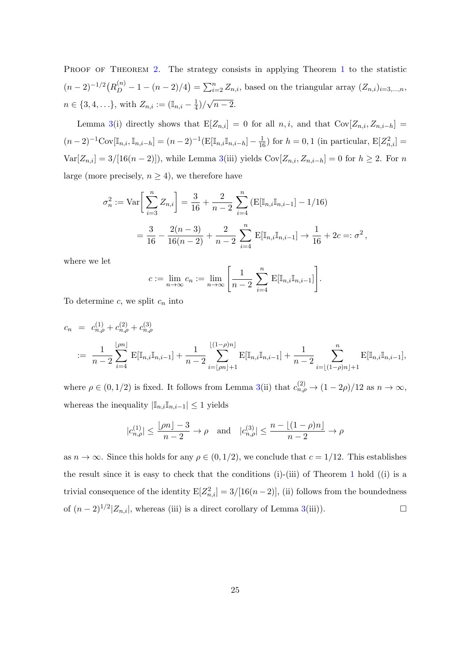PROOF OF THEOREM [2.](#page-10-2) The strategy consists in applying Theorem [1](#page-8-1) to the statistic  $(n-2)^{-1/2} (R_D^{(n)} - 1 - (n-2)/4) = \sum_{i=2}^n Z_{n,i}$ , based on the triangular array  $(Z_{n,i})_{i=3,\dots,n}$ ,  $n \in \{3, 4, \ldots\},\$  with  $Z_{n,i} := (\mathbb{I}_{n,i} - \frac{1}{4})$  $\frac{1}{4})/$ √  $n-2$ .

Lemma [3\(](#page-10-0)i) directly shows that  $E[Z_{n,i}] = 0$  for all  $n, i$ , and that  $Cov[Z_{n,i}, Z_{n,i-h}] =$  $(n-2)^{-1}Cov[\mathbb{I}_{n,i}, \mathbb{I}_{n,i-h}] = (n-2)^{-1}(E[\mathbb{I}_{n,i}\mathbb{I}_{n,i-h}] - \frac{1}{16})$  for  $h = 0, 1$  (in particular,  $E[Z_{n,i}^2] =$  $Var[Z_{n,i}] = 3/[16(n-2)]$ , while Lemma [3\(](#page-10-0)iii) yields  $Cov[Z_{n,i}, Z_{n,i-h}] = 0$  for  $h \geq 2$ . For n large (more precisely,  $n \geq 4$ ), we therefore have

$$
\sigma_n^2 := \text{Var}\bigg[\sum_{i=3}^n Z_{n,i}\bigg] = \frac{3}{16} + \frac{2}{n-2} \sum_{i=4}^n \left(\text{E}[\mathbb{I}_{n,i}\mathbb{I}_{n,i-1}] - 1/16\right)
$$

$$
= \frac{3}{16} - \frac{2(n-3)}{16(n-2)} + \frac{2}{n-2} \sum_{i=4}^n \text{E}[\mathbb{I}_{n,i}\mathbb{I}_{n,i-1}] \to \frac{1}{16} + 2c =: \sigma^2,
$$

where we let

$$
c := \lim_{n \to \infty} c_n := \lim_{n \to \infty} \left[ \frac{1}{n-2} \sum_{i=4}^n \mathbb{E}[\mathbb{I}_{n,i}] \mathbb{I}_{n,i-1}] \right].
$$

To determine  $c$ , we split  $c_n$  into

$$
c_n = c_{n,\rho}^{(1)} + c_{n,\rho}^{(2)} + c_{n,\rho}^{(3)}
$$
  

$$
:= \frac{1}{n-2} \sum_{i=4}^{\lfloor \rho n \rfloor} \mathbf{E}[\mathbb{I}_{n,i} \mathbb{I}_{n,i-1}] + \frac{1}{n-2} \sum_{i=\lfloor \rho n \rfloor+1}^{\lfloor (1-\rho)n \rfloor} \mathbf{E}[\mathbb{I}_{n,i} \mathbb{I}_{n,i-1}] + \frac{1}{n-2} \sum_{i=\lfloor (1-\rho)n \rfloor+1}^n \mathbf{E}[\mathbb{I}_{n,i} \mathbb{I}_{n,i-1}],
$$

where  $\rho \in (0, 1/2)$  is fixed. It follows from Lemma [3\(](#page-10-0)ii) that  $c_{n,\rho}^{(2)} \to (1-2\rho)/12$  as  $n \to \infty$ , whereas the inequality  $|\mathbb{I}_{n,i}\mathbb{I}_{n,i-1}| \leq 1$  yields

$$
|c_{n,\rho}^{(1)}| \le \frac{\lfloor \rho n \rfloor - 3}{n-2} \to \rho \quad \text{and} \quad |c_{n,\rho}^{(3)}| \le \frac{n - \lfloor (1 - \rho)n \rfloor}{n-2} \to \rho
$$

as  $n \to \infty$ . Since this holds for any  $\rho \in (0, 1/2)$ , we conclude that  $c = 1/12$ . This establishes the result since it is easy to check that the conditions (i)-(iii) of Theorem [1](#page-8-1) hold ((i) is a trivial consequence of the identity  $E[Z_{n,i}^2] = 3/[16(n-2)],$  (ii) follows from the boundedness of  $(n-2)^{1/2}$ |Z<sub>n,i</sub>|, whereas (iii) is a direct corollary of Lemma [3\(](#page-10-0)iii)). □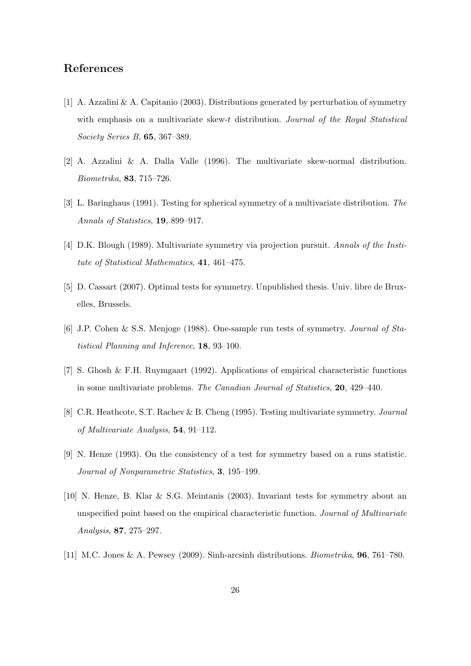# References

- <span id="page-25-9"></span>[1] A. Azzalini & A. Capitanio (2003). Distributions generated by perturbation of symmetry with emphasis on a multivariate skew-t distribution. Journal of the Royal Statistical Society Series B, 65, 367–389.
- <span id="page-25-8"></span>[2] A. Azzalini & A. Dalla Valle (1996). The multivariate skew-normal distribution. Biometrika, 83, 715–726.
- <span id="page-25-6"></span>[3] L. Baringhaus (1991). Testing for spherical symmetry of a multivariate distribution. The Annals of Statistics, 19, 899–917.
- <span id="page-25-0"></span>[4] D.K. Blough (1989). Multivariate symmetry via projection pursuit. Annals of the Institute of Statistical Mathematics, 41, 461–475.
- <span id="page-25-7"></span>[5] D. Cassart (2007). Optimal tests for symmetry. Unpublished thesis. Univ. libre de Bruxelles, Brussels.
- <span id="page-25-5"></span>[6] J.P. Cohen & S.S. Menjoge (1988). One-sample run tests of symmetry. Journal of Statistical Planning and Inference, 18, 93–100.
- <span id="page-25-1"></span>[7] S. Ghosh & F.H. Ruymgaart (1992). Applications of empirical characteristic functions in some multivariate problems. The Canadian Journal of Statistics, 20, 429–440.
- <span id="page-25-2"></span>[8] C.R. Heathcote, S.T. Rachev & B. Cheng (1995). Testing multivariate symmetry. Journal of Multivariate Analysis, 54, 91–112.
- <span id="page-25-4"></span>[9] N. Henze (1993). On the consistency of a test for symmetry based on a runs statistic. Journal of Nonparametric Statistics, 3, 195–199.
- <span id="page-25-3"></span>[10] N. Henze, B. Klar & S.G. Meintanis (2003). Invariant tests for symmetry about an unspecified point based on the empirical characteristic function. Journal of Multivariate Analysis, 87, 275–297.
- <span id="page-25-10"></span>[11] M.C. Jones & A. Pewsey (2009). Sinh-arcsinh distributions. Biometrika, 96, 761–780.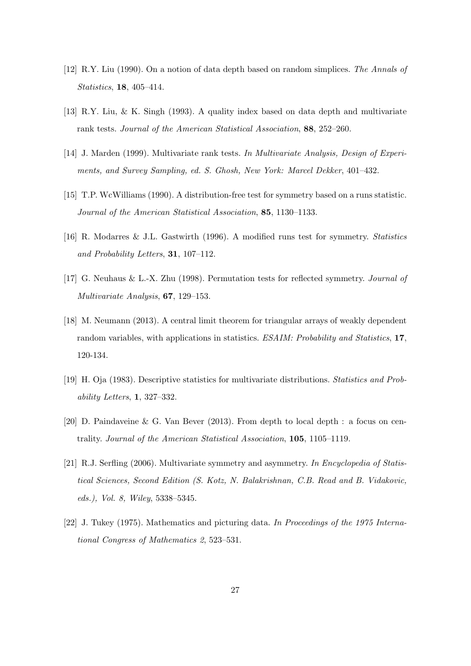- <span id="page-26-5"></span>[12] R.Y. Liu (1990). On a notion of data depth based on random simplices. The Annals of Statistics, 18, 405–414.
- <span id="page-26-8"></span>[13] R.Y. Liu, & K. Singh (1993). A quality index based on data depth and multivariate rank tests. Journal of the American Statistical Association, 88, 252–260.
- <span id="page-26-3"></span>[14] J. Marden (1999). Multivariate rank tests. In Multivariate Analysis, Design of Experiments, and Survey Sampling, ed. S. Ghosh, New York: Marcel Dekker, 401–432.
- <span id="page-26-2"></span>[15] T.P. WcWilliams (1990). A distribution-free test for symmetry based on a runs statistic. Journal of the American Statistical Association, 85, 1130–1133.
- <span id="page-26-10"></span>[16] R. Modarres & J.L. Gastwirth (1996). A modified runs test for symmetry. Statistics and Probability Letters, 31, 107–112.
- <span id="page-26-1"></span>[17] G. Neuhaus & L.-X. Zhu (1998). Permutation tests for reflected symmetry. Journal of Multivariate Analysis, 67, 129–153.
- <span id="page-26-7"></span>[18] M. Neumann (2013). A central limit theorem for triangular arrays of weakly dependent random variables, with applications in statistics. ESAIM: Probability and Statistics, 17, 120-134.
- <span id="page-26-6"></span>[19] H. Oja (1983). Descriptive statistics for multivariate distributions. Statistics and Probability Letters, 1, 327–332.
- <span id="page-26-9"></span>[20] D. Paindaveine & G. Van Bever (2013). From depth to local depth : a focus on centrality. Journal of the American Statistical Association, 105, 1105–1119.
- <span id="page-26-0"></span>[21] R.J. Serfling (2006). Multivariate symmetry and asymmetry. In Encyclopedia of Statistical Sciences, Second Edition (S. Kotz, N. Balakrishnan, C.B. Read and B. Vidakovic, eds.), Vol. 8, Wiley, 5338–5345.
- <span id="page-26-4"></span>[22] J. Tukey (1975). Mathematics and picturing data. In Proceedings of the 1975 International Congress of Mathematics 2, 523–531.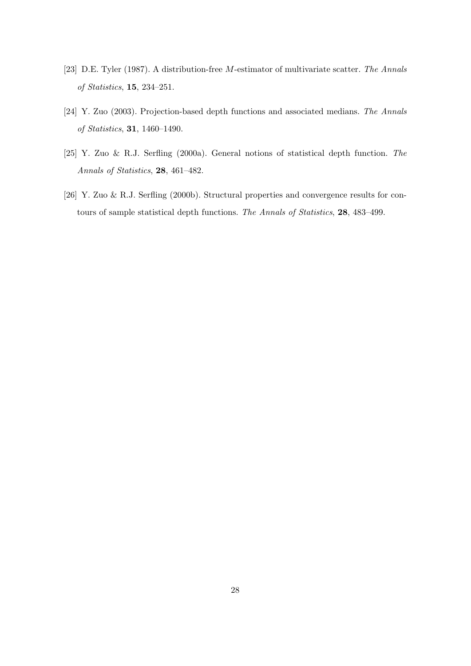- <span id="page-27-2"></span>[23] D.E. Tyler (1987). A distribution-free M-estimator of multivariate scatter. The Annals of Statistics, 15, 234–251.
- <span id="page-27-1"></span>[24] Y. Zuo (2003). Projection-based depth functions and associated medians. The Annals of Statistics, 31, 1460–1490.
- <span id="page-27-0"></span>[25] Y. Zuo & R.J. Serfling (2000a). General notions of statistical depth function. The Annals of Statistics, 28, 461–482.
- <span id="page-27-3"></span>[26] Y. Zuo & R.J. Serfling (2000b). Structural properties and convergence results for contours of sample statistical depth functions. The Annals of Statistics, 28, 483–499.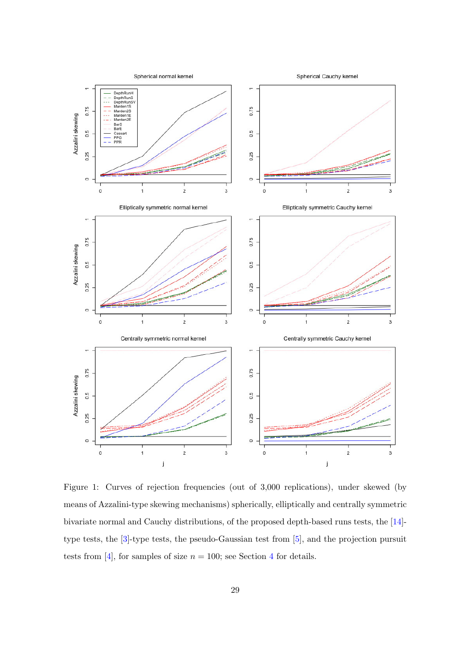

<span id="page-28-0"></span>Figure 1: Curves of rejection frequencies (out of 3,000 replications), under skewed (by means of Azzalini-type skewing mechanisms) spherically, elliptically and centrally symmetric bivariate normal and Cauchy distributions, of the proposed depth-based runs tests, the [\[14\]](#page-26-3) type tests, the [\[3\]](#page-25-6)-type tests, the pseudo-Gaussian test from [\[5\]](#page-25-7), and the projection pursuit tests from [\[4\]](#page-25-0), for samples of size  $n = 100$ ; see Section [4](#page-11-1) for details.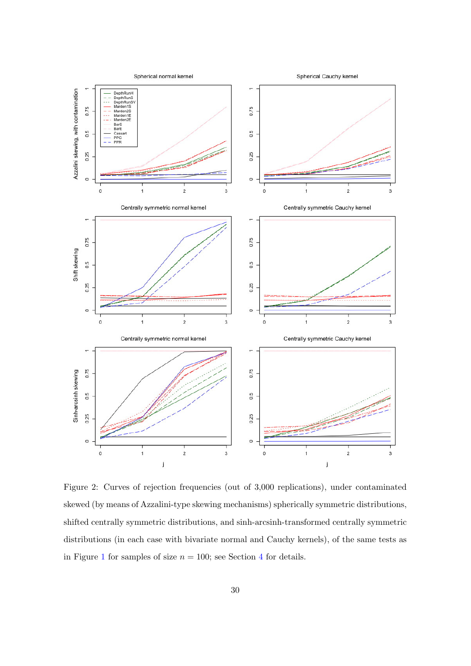

<span id="page-29-0"></span>Figure 2: Curves of rejection frequencies (out of 3,000 replications), under contaminated skewed (by means of Azzalini-type skewing mechanisms) spherically symmetric distributions, shifted centrally symmetric distributions, and sinh-arcsinh-transformed centrally symmetric distributions (in each case with bivariate normal and Cauchy kernels), of the same tests as in Figure [1](#page-28-0) for samples of size  $n = 100$ ; see Section [4](#page-11-1) for details.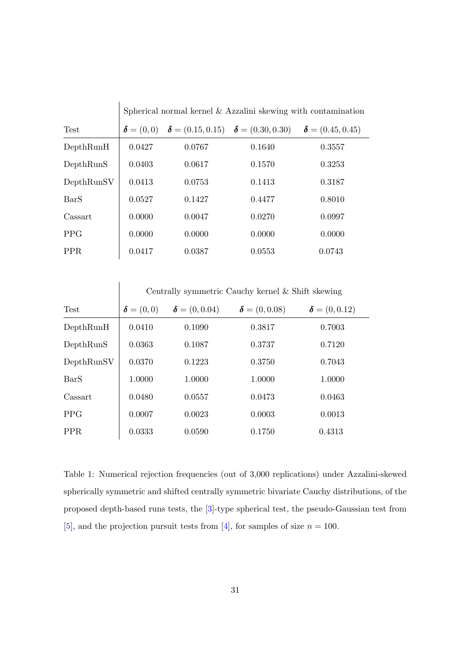|             | Spherical normal kernel $&$ Azzalini skewing with contamination |        |                                                                                                         |                         |  |
|-------------|-----------------------------------------------------------------|--------|---------------------------------------------------------------------------------------------------------|-------------------------|--|
| <b>Test</b> |                                                                 |        | $\boldsymbol{\delta} = (0,0)$ $\boldsymbol{\delta} = (0.15, 0.15)$ $\boldsymbol{\delta} = (0.30, 0.30)$ | $\delta = (0.45, 0.45)$ |  |
| DepthRunH   | 0.0427                                                          | 0.0767 | 0.1640                                                                                                  | 0.3557                  |  |
| DepthRunS   | 0.0403                                                          | 0.0617 | 0.1570                                                                                                  | 0.3253                  |  |
| DepthRunSV  | 0.0413                                                          | 0.0753 | 0.1413                                                                                                  | 0.3187                  |  |
| <b>BarS</b> | 0.0527                                                          | 0.1427 | 0.4477                                                                                                  | 0.8010                  |  |
| Cassart     | 0.0000                                                          | 0.0047 | 0.0270                                                                                                  | 0.0997                  |  |
| <b>PPG</b>  | 0.0000                                                          | 0.0000 | 0.0000                                                                                                  | 0.0000                  |  |
| PPR.        | 0.0417                                                          | 0.0387 | 0.0553                                                                                                  | 0.0743                  |  |

|             | Centrally symmetric Cauchy kernel & Shift skewing |                      |                      |                      |  |
|-------------|---------------------------------------------------|----------------------|----------------------|----------------------|--|
| <b>Test</b> | $\boldsymbol{\delta}=(0,0)$                       | $\delta = (0, 0.04)$ | $\delta = (0, 0.08)$ | $\delta = (0, 0.12)$ |  |
| DepthRunH   | 0.0410                                            | 0.1090               | 0.3817               | 0.7003               |  |
| DepthRunS   | 0.0363                                            | 0.1087               | 0.3737               | 0.7120               |  |
| DepthRunSV  | 0.0370                                            | 0.1223               | 0.3750               | 0.7043               |  |
| <b>BarS</b> | 1.0000                                            | 1.0000               | 1.0000               | 1.0000               |  |
| Cassart     | 0.0480                                            | 0.0557               | 0.0473               | 0.0463               |  |
| <b>PPG</b>  | 0.0007                                            | 0.0023               | 0.0003               | 0.0013               |  |
| PPR.        | 0.0333                                            | 0.0590               | 0.1750               | 0.4313               |  |

<span id="page-30-0"></span>Table 1: Numerical rejection frequencies (out of 3,000 replications) under Azzalini-skewed spherically symmetric and shifted centrally symmetric bivariate Cauchy distributions, of the proposed depth-based runs tests, the [\[3\]](#page-25-6)-type spherical test, the pseudo-Gaussian test from [\[5\]](#page-25-7), and the projection pursuit tests from [\[4\]](#page-25-0), for samples of size  $n = 100$ .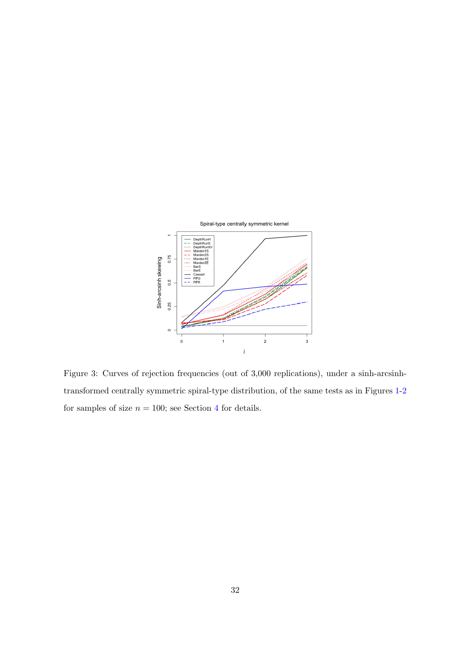

<span id="page-31-0"></span>Figure 3: Curves of rejection frequencies (out of 3,000 replications), under a sinh-arcsinhtransformed centrally symmetric spiral-type distribution, of the same tests as in Figures [1-](#page-28-0)[2](#page-29-0) for samples of size  $n = 100$ ; see Section [4](#page-11-1) for details.